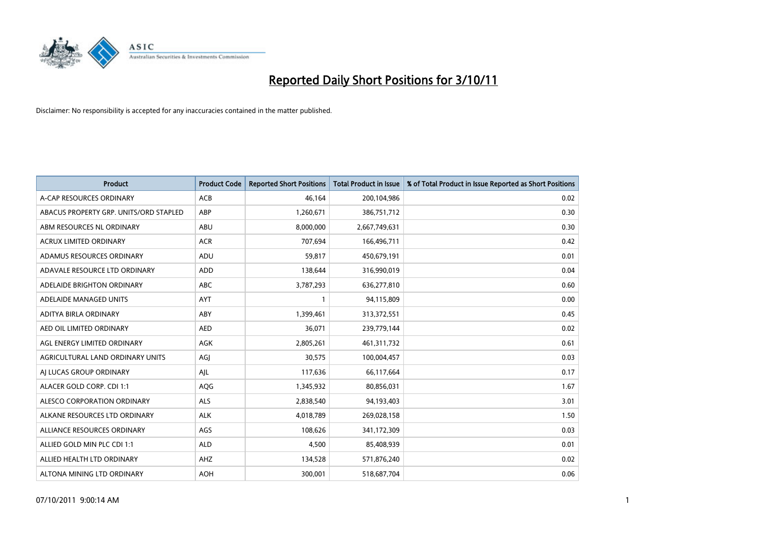

| <b>Product</b>                         | <b>Product Code</b> | <b>Reported Short Positions</b> | <b>Total Product in Issue</b> | % of Total Product in Issue Reported as Short Positions |
|----------------------------------------|---------------------|---------------------------------|-------------------------------|---------------------------------------------------------|
| A-CAP RESOURCES ORDINARY               | <b>ACB</b>          | 46,164                          | 200,104,986                   | 0.02                                                    |
| ABACUS PROPERTY GRP. UNITS/ORD STAPLED | ABP                 | 1,260,671                       | 386,751,712                   | 0.30                                                    |
| ABM RESOURCES NL ORDINARY              | ABU                 | 8,000,000                       | 2,667,749,631                 | 0.30                                                    |
| ACRUX LIMITED ORDINARY                 | <b>ACR</b>          | 707,694                         | 166,496,711                   | 0.42                                                    |
| ADAMUS RESOURCES ORDINARY              | ADU                 | 59,817                          | 450,679,191                   | 0.01                                                    |
| ADAVALE RESOURCE LTD ORDINARY          | ADD                 | 138,644                         | 316,990,019                   | 0.04                                                    |
| ADELAIDE BRIGHTON ORDINARY             | <b>ABC</b>          | 3,787,293                       | 636,277,810                   | 0.60                                                    |
| ADELAIDE MANAGED UNITS                 | <b>AYT</b>          |                                 | 94,115,809                    | 0.00                                                    |
| ADITYA BIRLA ORDINARY                  | ABY                 | 1,399,461                       | 313,372,551                   | 0.45                                                    |
| AED OIL LIMITED ORDINARY               | <b>AED</b>          | 36,071                          | 239,779,144                   | 0.02                                                    |
| AGL ENERGY LIMITED ORDINARY            | <b>AGK</b>          | 2,805,261                       | 461,311,732                   | 0.61                                                    |
| AGRICULTURAL LAND ORDINARY UNITS       | AGI                 | 30,575                          | 100,004,457                   | 0.03                                                    |
| AI LUCAS GROUP ORDINARY                | AJL                 | 117,636                         | 66,117,664                    | 0.17                                                    |
| ALACER GOLD CORP. CDI 1:1              | <b>AQG</b>          | 1,345,932                       | 80,856,031                    | 1.67                                                    |
| ALESCO CORPORATION ORDINARY            | <b>ALS</b>          | 2,838,540                       | 94,193,403                    | 3.01                                                    |
| ALKANE RESOURCES LTD ORDINARY          | <b>ALK</b>          | 4,018,789                       | 269,028,158                   | 1.50                                                    |
| ALLIANCE RESOURCES ORDINARY            | AGS                 | 108,626                         | 341,172,309                   | 0.03                                                    |
| ALLIED GOLD MIN PLC CDI 1:1            | <b>ALD</b>          | 4,500                           | 85,408,939                    | 0.01                                                    |
| ALLIED HEALTH LTD ORDINARY             | AHZ                 | 134,528                         | 571,876,240                   | 0.02                                                    |
| ALTONA MINING LTD ORDINARY             | <b>AOH</b>          | 300.001                         | 518,687,704                   | 0.06                                                    |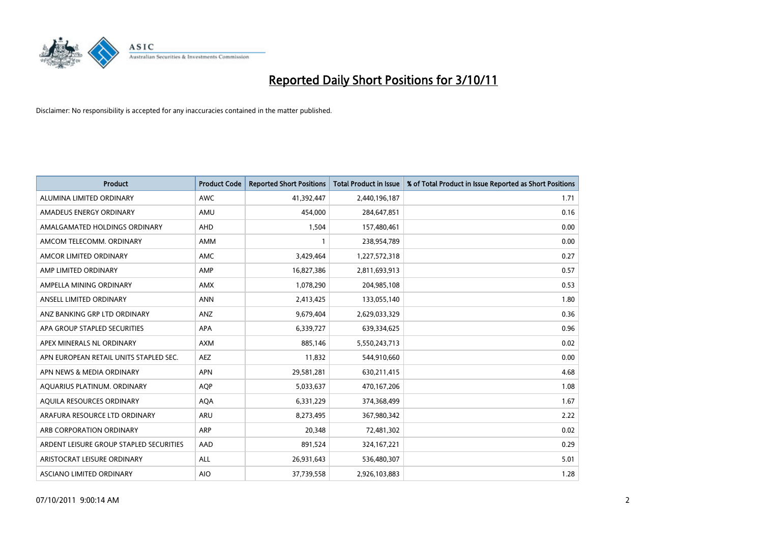

| <b>Product</b>                          | <b>Product Code</b> | <b>Reported Short Positions</b> | <b>Total Product in Issue</b> | % of Total Product in Issue Reported as Short Positions |
|-----------------------------------------|---------------------|---------------------------------|-------------------------------|---------------------------------------------------------|
| ALUMINA LIMITED ORDINARY                | <b>AWC</b>          | 41,392,447                      | 2,440,196,187                 | 1.71                                                    |
| AMADEUS ENERGY ORDINARY                 | AMU                 | 454,000                         | 284,647,851                   | 0.16                                                    |
| AMALGAMATED HOLDINGS ORDINARY           | AHD                 | 1,504                           | 157,480,461                   | 0.00                                                    |
| AMCOM TELECOMM. ORDINARY                | <b>AMM</b>          |                                 | 238,954,789                   | 0.00                                                    |
| AMCOR LIMITED ORDINARY                  | <b>AMC</b>          | 3,429,464                       | 1,227,572,318                 | 0.27                                                    |
| AMP LIMITED ORDINARY                    | AMP                 | 16,827,386                      | 2,811,693,913                 | 0.57                                                    |
| AMPELLA MINING ORDINARY                 | <b>AMX</b>          | 1,078,290                       | 204,985,108                   | 0.53                                                    |
| ANSELL LIMITED ORDINARY                 | <b>ANN</b>          | 2,413,425                       | 133,055,140                   | 1.80                                                    |
| ANZ BANKING GRP LTD ORDINARY            | ANZ                 | 9,679,404                       | 2,629,033,329                 | 0.36                                                    |
| APA GROUP STAPLED SECURITIES            | <b>APA</b>          | 6,339,727                       | 639,334,625                   | 0.96                                                    |
| APEX MINERALS NL ORDINARY               | <b>AXM</b>          | 885,146                         | 5,550,243,713                 | 0.02                                                    |
| APN EUROPEAN RETAIL UNITS STAPLED SEC.  | <b>AEZ</b>          | 11,832                          | 544,910,660                   | 0.00                                                    |
| APN NEWS & MEDIA ORDINARY               | <b>APN</b>          | 29,581,281                      | 630,211,415                   | 4.68                                                    |
| AQUARIUS PLATINUM. ORDINARY             | <b>AOP</b>          | 5,033,637                       | 470,167,206                   | 1.08                                                    |
| AQUILA RESOURCES ORDINARY               | <b>AQA</b>          | 6,331,229                       | 374,368,499                   | 1.67                                                    |
| ARAFURA RESOURCE LTD ORDINARY           | ARU                 | 8,273,495                       | 367,980,342                   | 2.22                                                    |
| ARB CORPORATION ORDINARY                | <b>ARP</b>          | 20,348                          | 72,481,302                    | 0.02                                                    |
| ARDENT LEISURE GROUP STAPLED SECURITIES | AAD                 | 891,524                         | 324, 167, 221                 | 0.29                                                    |
| ARISTOCRAT LEISURE ORDINARY             | <b>ALL</b>          | 26,931,643                      | 536,480,307                   | 5.01                                                    |
| ASCIANO LIMITED ORDINARY                | <b>AIO</b>          | 37,739,558                      | 2,926,103,883                 | 1.28                                                    |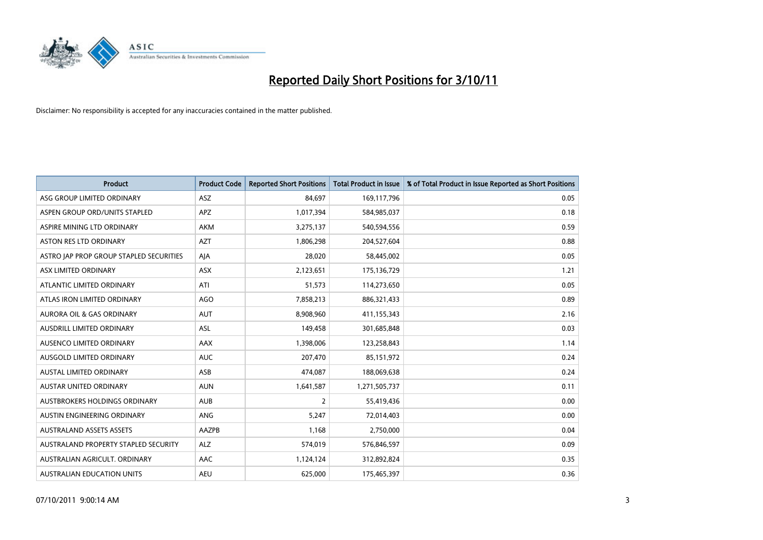

| <b>Product</b>                          | <b>Product Code</b> | <b>Reported Short Positions</b> | <b>Total Product in Issue</b> | % of Total Product in Issue Reported as Short Positions |
|-----------------------------------------|---------------------|---------------------------------|-------------------------------|---------------------------------------------------------|
| ASG GROUP LIMITED ORDINARY              | <b>ASZ</b>          | 84,697                          | 169,117,796                   | 0.05                                                    |
| ASPEN GROUP ORD/UNITS STAPLED           | APZ                 | 1,017,394                       | 584,985,037                   | 0.18                                                    |
| ASPIRE MINING LTD ORDINARY              | <b>AKM</b>          | 3,275,137                       | 540,594,556                   | 0.59                                                    |
| <b>ASTON RES LTD ORDINARY</b>           | <b>AZT</b>          | 1,806,298                       | 204,527,604                   | 0.88                                                    |
| ASTRO JAP PROP GROUP STAPLED SECURITIES | AJA                 | 28,020                          | 58,445,002                    | 0.05                                                    |
| ASX LIMITED ORDINARY                    | ASX                 | 2,123,651                       | 175,136,729                   | 1.21                                                    |
| ATLANTIC LIMITED ORDINARY               | ATI                 | 51,573                          | 114,273,650                   | 0.05                                                    |
| ATLAS IRON LIMITED ORDINARY             | AGO                 | 7,858,213                       | 886,321,433                   | 0.89                                                    |
| AURORA OIL & GAS ORDINARY               | <b>AUT</b>          | 8,908,960                       | 411,155,343                   | 2.16                                                    |
| AUSDRILL LIMITED ORDINARY               | <b>ASL</b>          | 149,458                         | 301,685,848                   | 0.03                                                    |
| AUSENCO LIMITED ORDINARY                | <b>AAX</b>          | 1,398,006                       | 123,258,843                   | 1.14                                                    |
| <b>AUSGOLD LIMITED ORDINARY</b>         | <b>AUC</b>          | 207,470                         | 85,151,972                    | 0.24                                                    |
| AUSTAL LIMITED ORDINARY                 | ASB                 | 474,087                         | 188,069,638                   | 0.24                                                    |
| <b>AUSTAR UNITED ORDINARY</b>           | <b>AUN</b>          | 1,641,587                       | 1,271,505,737                 | 0.11                                                    |
| AUSTBROKERS HOLDINGS ORDINARY           | <b>AUB</b>          | 2                               | 55,419,436                    | 0.00                                                    |
| AUSTIN ENGINEERING ORDINARY             | ANG                 | 5,247                           | 72,014,403                    | 0.00                                                    |
| <b>AUSTRALAND ASSETS ASSETS</b>         | AAZPB               | 1,168                           | 2,750,000                     | 0.04                                                    |
| AUSTRALAND PROPERTY STAPLED SECURITY    | <b>ALZ</b>          | 574,019                         | 576,846,597                   | 0.09                                                    |
| AUSTRALIAN AGRICULT, ORDINARY           | AAC                 | 1,124,124                       | 312,892,824                   | 0.35                                                    |
| AUSTRALIAN EDUCATION UNITS              | <b>AEU</b>          | 625.000                         | 175,465,397                   | 0.36                                                    |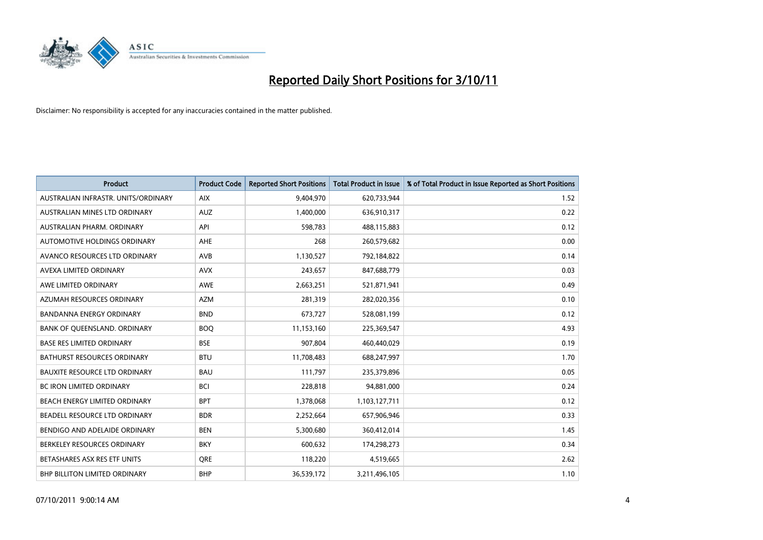

| <b>Product</b>                       | <b>Product Code</b> | <b>Reported Short Positions</b> | <b>Total Product in Issue</b> | % of Total Product in Issue Reported as Short Positions |
|--------------------------------------|---------------------|---------------------------------|-------------------------------|---------------------------------------------------------|
| AUSTRALIAN INFRASTR, UNITS/ORDINARY  | <b>AIX</b>          | 9,404,970                       | 620,733,944                   | 1.52                                                    |
| <b>AUSTRALIAN MINES LTD ORDINARY</b> | <b>AUZ</b>          | 1,400,000                       | 636,910,317                   | 0.22                                                    |
| AUSTRALIAN PHARM, ORDINARY           | API                 | 598,783                         | 488,115,883                   | 0.12                                                    |
| AUTOMOTIVE HOLDINGS ORDINARY         | <b>AHE</b>          | 268                             | 260,579,682                   | 0.00                                                    |
| AVANCO RESOURCES LTD ORDINARY        | AVB                 | 1,130,527                       | 792,184,822                   | 0.14                                                    |
| AVEXA LIMITED ORDINARY               | <b>AVX</b>          | 243,657                         | 847,688,779                   | 0.03                                                    |
| AWE LIMITED ORDINARY                 | AWE                 | 2,663,251                       | 521,871,941                   | 0.49                                                    |
| AZUMAH RESOURCES ORDINARY            | <b>AZM</b>          | 281,319                         | 282,020,356                   | 0.10                                                    |
| BANDANNA ENERGY ORDINARY             | <b>BND</b>          | 673,727                         | 528,081,199                   | 0.12                                                    |
| BANK OF OUEENSLAND, ORDINARY         | <b>BOO</b>          | 11,153,160                      | 225,369,547                   | 4.93                                                    |
| <b>BASE RES LIMITED ORDINARY</b>     | <b>BSE</b>          | 907,804                         | 460,440,029                   | 0.19                                                    |
| <b>BATHURST RESOURCES ORDINARY</b>   | <b>BTU</b>          | 11,708,483                      | 688,247,997                   | 1.70                                                    |
| <b>BAUXITE RESOURCE LTD ORDINARY</b> | <b>BAU</b>          | 111,797                         | 235,379,896                   | 0.05                                                    |
| <b>BC IRON LIMITED ORDINARY</b>      | <b>BCI</b>          | 228.818                         | 94,881,000                    | 0.24                                                    |
| BEACH ENERGY LIMITED ORDINARY        | <b>BPT</b>          | 1,378,068                       | 1,103,127,711                 | 0.12                                                    |
| BEADELL RESOURCE LTD ORDINARY        | <b>BDR</b>          | 2,252,664                       | 657,906,946                   | 0.33                                                    |
| BENDIGO AND ADELAIDE ORDINARY        | <b>BEN</b>          | 5,300,680                       | 360,412,014                   | 1.45                                                    |
| BERKELEY RESOURCES ORDINARY          | <b>BKY</b>          | 600,632                         | 174,298,273                   | 0.34                                                    |
| BETASHARES ASX RES ETF UNITS         | <b>ORE</b>          | 118,220                         | 4,519,665                     | 2.62                                                    |
| <b>BHP BILLITON LIMITED ORDINARY</b> | <b>BHP</b>          | 36,539,172                      | 3,211,496,105                 | 1.10                                                    |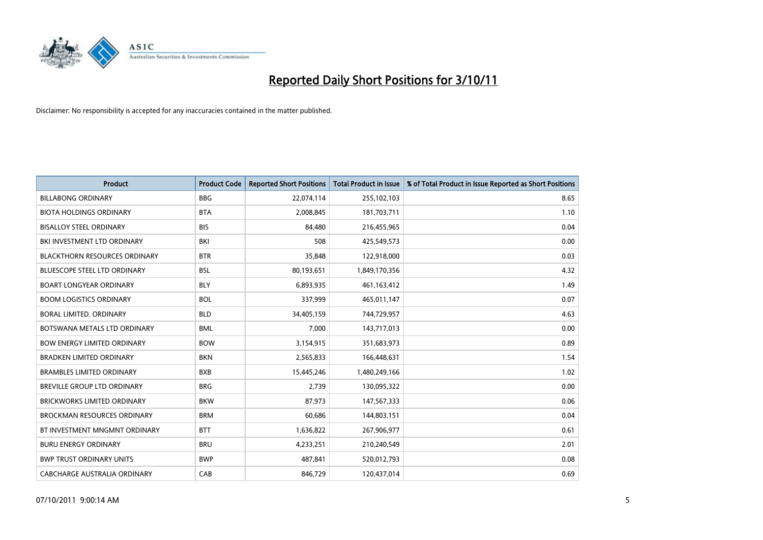

| <b>Product</b>                       | <b>Product Code</b> | <b>Reported Short Positions</b> | <b>Total Product in Issue</b> | % of Total Product in Issue Reported as Short Positions |
|--------------------------------------|---------------------|---------------------------------|-------------------------------|---------------------------------------------------------|
| <b>BILLABONG ORDINARY</b>            | <b>BBG</b>          | 22,074,114                      | 255,102,103                   | 8.65                                                    |
| <b>BIOTA HOLDINGS ORDINARY</b>       | <b>BTA</b>          | 2,008,845                       | 181,703,711                   | 1.10                                                    |
| <b>BISALLOY STEEL ORDINARY</b>       | <b>BIS</b>          | 84,480                          | 216,455,965                   | 0.04                                                    |
| BKI INVESTMENT LTD ORDINARY          | BKI                 | 508                             | 425,549,573                   | 0.00                                                    |
| <b>BLACKTHORN RESOURCES ORDINARY</b> | <b>BTR</b>          | 35,848                          | 122,918,000                   | 0.03                                                    |
| <b>BLUESCOPE STEEL LTD ORDINARY</b>  | <b>BSL</b>          | 80,193,651                      | 1,849,170,356                 | 4.32                                                    |
| <b>BOART LONGYEAR ORDINARY</b>       | <b>BLY</b>          | 6,893,935                       | 461,163,412                   | 1.49                                                    |
| <b>BOOM LOGISTICS ORDINARY</b>       | <b>BOL</b>          | 337,999                         | 465,011,147                   | 0.07                                                    |
| BORAL LIMITED. ORDINARY              | <b>BLD</b>          | 34,405,159                      | 744,729,957                   | 4.63                                                    |
| BOTSWANA METALS LTD ORDINARY         | <b>BML</b>          | 7.000                           | 143,717,013                   | 0.00                                                    |
| <b>BOW ENERGY LIMITED ORDINARY</b>   | <b>BOW</b>          | 3,154,915                       | 351,683,973                   | 0.89                                                    |
| <b>BRADKEN LIMITED ORDINARY</b>      | <b>BKN</b>          | 2,565,833                       | 166,448,631                   | 1.54                                                    |
| <b>BRAMBLES LIMITED ORDINARY</b>     | <b>BXB</b>          | 15,445,246                      | 1,480,249,166                 | 1.02                                                    |
| <b>BREVILLE GROUP LTD ORDINARY</b>   | <b>BRG</b>          | 2,739                           | 130,095,322                   | 0.00                                                    |
| <b>BRICKWORKS LIMITED ORDINARY</b>   | <b>BKW</b>          | 87,973                          | 147,567,333                   | 0.06                                                    |
| <b>BROCKMAN RESOURCES ORDINARY</b>   | <b>BRM</b>          | 60,686                          | 144,803,151                   | 0.04                                                    |
| BT INVESTMENT MNGMNT ORDINARY        | <b>BTT</b>          | 1,636,822                       | 267,906,977                   | 0.61                                                    |
| <b>BURU ENERGY ORDINARY</b>          | <b>BRU</b>          | 4,233,251                       | 210,240,549                   | 2.01                                                    |
| <b>BWP TRUST ORDINARY UNITS</b>      | <b>BWP</b>          | 487,841                         | 520,012,793                   | 0.08                                                    |
| CABCHARGE AUSTRALIA ORDINARY         | CAB                 | 846.729                         | 120.437.014                   | 0.69                                                    |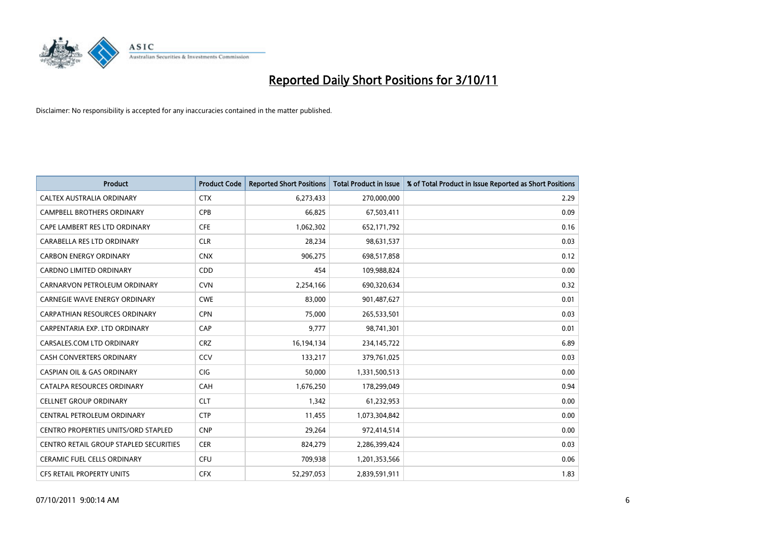

| <b>Product</b>                             | <b>Product Code</b> | <b>Reported Short Positions</b> | <b>Total Product in Issue</b> | % of Total Product in Issue Reported as Short Positions |
|--------------------------------------------|---------------------|---------------------------------|-------------------------------|---------------------------------------------------------|
| CALTEX AUSTRALIA ORDINARY                  | <b>CTX</b>          | 6,273,433                       | 270,000,000                   | 2.29                                                    |
| CAMPBELL BROTHERS ORDINARY                 | <b>CPB</b>          | 66,825                          | 67,503,411                    | 0.09                                                    |
| CAPE LAMBERT RES LTD ORDINARY              | <b>CFE</b>          | 1,062,302                       | 652,171,792                   | 0.16                                                    |
| CARABELLA RES LTD ORDINARY                 | <b>CLR</b>          | 28,234                          | 98,631,537                    | 0.03                                                    |
| <b>CARBON ENERGY ORDINARY</b>              | <b>CNX</b>          | 906,275                         | 698,517,858                   | 0.12                                                    |
| <b>CARDNO LIMITED ORDINARY</b>             | CDD                 | 454                             | 109,988,824                   | 0.00                                                    |
| CARNARVON PETROLEUM ORDINARY               | <b>CVN</b>          | 2,254,166                       | 690,320,634                   | 0.32                                                    |
| <b>CARNEGIE WAVE ENERGY ORDINARY</b>       | <b>CWE</b>          | 83,000                          | 901,487,627                   | 0.01                                                    |
| CARPATHIAN RESOURCES ORDINARY              | <b>CPN</b>          | 75,000                          | 265,533,501                   | 0.03                                                    |
| CARPENTARIA EXP. LTD ORDINARY              | CAP                 | 9,777                           | 98,741,301                    | 0.01                                                    |
| CARSALES.COM LTD ORDINARY                  | <b>CRZ</b>          | 16,194,134                      | 234,145,722                   | 6.89                                                    |
| <b>CASH CONVERTERS ORDINARY</b>            | CCV                 | 133,217                         | 379,761,025                   | 0.03                                                    |
| <b>CASPIAN OIL &amp; GAS ORDINARY</b>      | <b>CIG</b>          | 50,000                          | 1,331,500,513                 | 0.00                                                    |
| CATALPA RESOURCES ORDINARY                 | CAH                 | 1,676,250                       | 178,299,049                   | 0.94                                                    |
| <b>CELLNET GROUP ORDINARY</b>              | <b>CLT</b>          | 1,342                           | 61,232,953                    | 0.00                                                    |
| CENTRAL PETROLEUM ORDINARY                 | <b>CTP</b>          | 11,455                          | 1,073,304,842                 | 0.00                                                    |
| <b>CENTRO PROPERTIES UNITS/ORD STAPLED</b> | <b>CNP</b>          | 29,264                          | 972,414,514                   | 0.00                                                    |
| CENTRO RETAIL GROUP STAPLED SECURITIES     | <b>CER</b>          | 824,279                         | 2,286,399,424                 | 0.03                                                    |
| <b>CERAMIC FUEL CELLS ORDINARY</b>         | <b>CFU</b>          | 709,938                         | 1,201,353,566                 | 0.06                                                    |
| <b>CFS RETAIL PROPERTY UNITS</b>           | <b>CFX</b>          | 52,297,053                      | 2,839,591,911                 | 1.83                                                    |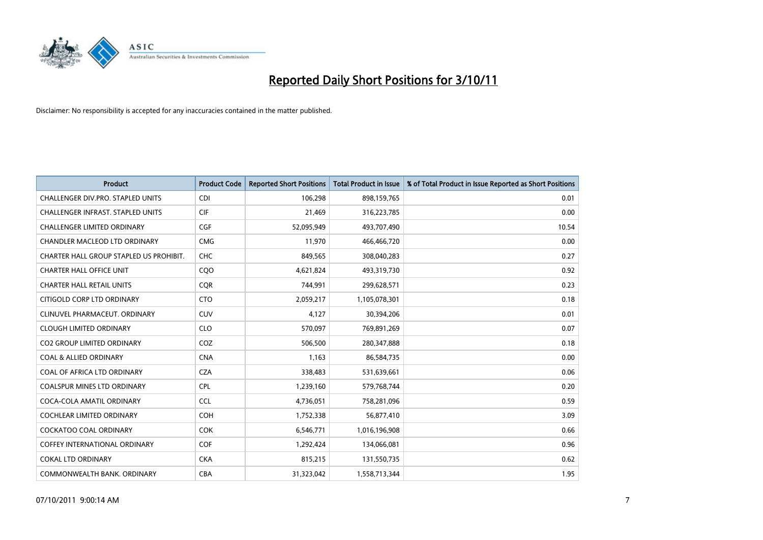

| <b>Product</b>                          | <b>Product Code</b> | <b>Reported Short Positions</b> | <b>Total Product in Issue</b> | % of Total Product in Issue Reported as Short Positions |
|-----------------------------------------|---------------------|---------------------------------|-------------------------------|---------------------------------------------------------|
| CHALLENGER DIV.PRO. STAPLED UNITS       | <b>CDI</b>          | 106,298                         | 898,159,765                   | 0.01                                                    |
| CHALLENGER INFRAST. STAPLED UNITS       | <b>CIF</b>          | 21,469                          | 316,223,785                   | 0.00                                                    |
| CHALLENGER LIMITED ORDINARY             | <b>CGF</b>          | 52,095,949                      | 493,707,490                   | 10.54                                                   |
| CHANDLER MACLEOD LTD ORDINARY           | <b>CMG</b>          | 11,970                          | 466,466,720                   | 0.00                                                    |
| CHARTER HALL GROUP STAPLED US PROHIBIT. | <b>CHC</b>          | 849,565                         | 308,040,283                   | 0.27                                                    |
| <b>CHARTER HALL OFFICE UNIT</b>         | COO                 | 4,621,824                       | 493,319,730                   | 0.92                                                    |
| <b>CHARTER HALL RETAIL UNITS</b>        | <b>COR</b>          | 744,991                         | 299,628,571                   | 0.23                                                    |
| CITIGOLD CORP LTD ORDINARY              | <b>CTO</b>          | 2,059,217                       | 1,105,078,301                 | 0.18                                                    |
| CLINUVEL PHARMACEUT, ORDINARY           | <b>CUV</b>          | 4,127                           | 30,394,206                    | 0.01                                                    |
| <b>CLOUGH LIMITED ORDINARY</b>          | <b>CLO</b>          | 570,097                         | 769,891,269                   | 0.07                                                    |
| CO2 GROUP LIMITED ORDINARY              | COZ                 | 506,500                         | 280,347,888                   | 0.18                                                    |
| <b>COAL &amp; ALLIED ORDINARY</b>       | <b>CNA</b>          | 1,163                           | 86,584,735                    | 0.00                                                    |
| COAL OF AFRICA LTD ORDINARY             | <b>CZA</b>          | 338,483                         | 531,639,661                   | 0.06                                                    |
| <b>COALSPUR MINES LTD ORDINARY</b>      | <b>CPL</b>          | 1,239,160                       | 579,768,744                   | 0.20                                                    |
| COCA-COLA AMATIL ORDINARY               | <b>CCL</b>          | 4,736,051                       | 758,281,096                   | 0.59                                                    |
| COCHLEAR LIMITED ORDINARY               | <b>COH</b>          | 1,752,338                       | 56,877,410                    | 3.09                                                    |
| COCKATOO COAL ORDINARY                  | <b>COK</b>          | 6,546,771                       | 1,016,196,908                 | 0.66                                                    |
| COFFEY INTERNATIONAL ORDINARY           | <b>COF</b>          | 1,292,424                       | 134,066,081                   | 0.96                                                    |
| <b>COKAL LTD ORDINARY</b>               | <b>CKA</b>          | 815,215                         | 131,550,735                   | 0.62                                                    |
| COMMONWEALTH BANK, ORDINARY             | <b>CBA</b>          | 31,323,042                      | 1,558,713,344                 | 1.95                                                    |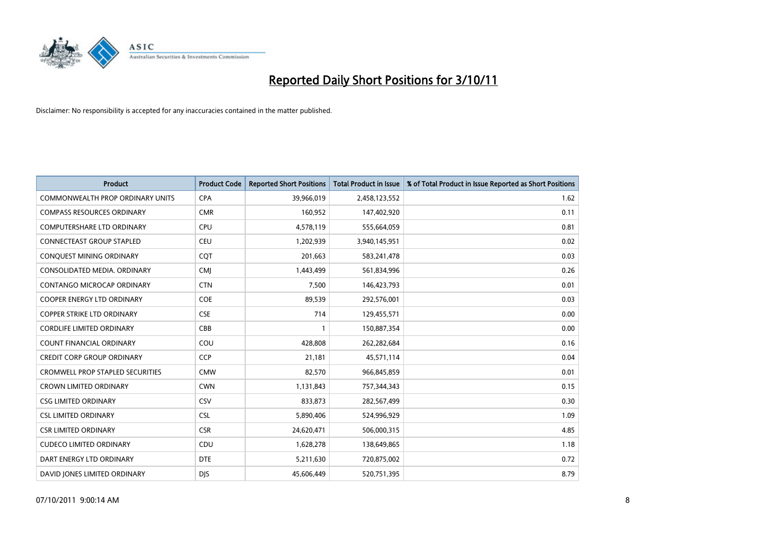

| <b>Product</b>                          | <b>Product Code</b> | <b>Reported Short Positions</b> | <b>Total Product in Issue</b> | % of Total Product in Issue Reported as Short Positions |
|-----------------------------------------|---------------------|---------------------------------|-------------------------------|---------------------------------------------------------|
| <b>COMMONWEALTH PROP ORDINARY UNITS</b> | <b>CPA</b>          | 39,966,019                      | 2,458,123,552                 | 1.62                                                    |
| <b>COMPASS RESOURCES ORDINARY</b>       | <b>CMR</b>          | 160,952                         | 147,402,920                   | 0.11                                                    |
| <b>COMPUTERSHARE LTD ORDINARY</b>       | <b>CPU</b>          | 4,578,119                       | 555,664,059                   | 0.81                                                    |
| CONNECTEAST GROUP STAPLED               | <b>CEU</b>          | 1,202,939                       | 3,940,145,951                 | 0.02                                                    |
| CONQUEST MINING ORDINARY                | COT                 | 201,663                         | 583,241,478                   | 0.03                                                    |
| CONSOLIDATED MEDIA, ORDINARY            | <b>CMI</b>          | 1,443,499                       | 561,834,996                   | 0.26                                                    |
| <b>CONTANGO MICROCAP ORDINARY</b>       | <b>CTN</b>          | 7,500                           | 146,423,793                   | 0.01                                                    |
| <b>COOPER ENERGY LTD ORDINARY</b>       | COE                 | 89,539                          | 292,576,001                   | 0.03                                                    |
| COPPER STRIKE LTD ORDINARY              | <b>CSE</b>          | 714                             | 129,455,571                   | 0.00                                                    |
| <b>CORDLIFE LIMITED ORDINARY</b>        | CBB                 |                                 | 150,887,354                   | 0.00                                                    |
| COUNT FINANCIAL ORDINARY                | COU                 | 428,808                         | 262,282,684                   | 0.16                                                    |
| <b>CREDIT CORP GROUP ORDINARY</b>       | <b>CCP</b>          | 21,181                          | 45,571,114                    | 0.04                                                    |
| <b>CROMWELL PROP STAPLED SECURITIES</b> | <b>CMW</b>          | 82,570                          | 966,845,859                   | 0.01                                                    |
| <b>CROWN LIMITED ORDINARY</b>           | <b>CWN</b>          | 1,131,843                       | 757,344,343                   | 0.15                                                    |
| <b>CSG LIMITED ORDINARY</b>             | CSV                 | 833,873                         | 282,567,499                   | 0.30                                                    |
| <b>CSL LIMITED ORDINARY</b>             | <b>CSL</b>          | 5,890,406                       | 524,996,929                   | 1.09                                                    |
| <b>CSR LIMITED ORDINARY</b>             | <b>CSR</b>          | 24,620,471                      | 506,000,315                   | 4.85                                                    |
| <b>CUDECO LIMITED ORDINARY</b>          | CDU                 | 1,628,278                       | 138,649,865                   | 1.18                                                    |
| DART ENERGY LTD ORDINARY                | <b>DTE</b>          | 5,211,630                       | 720,875,002                   | 0.72                                                    |
| DAVID JONES LIMITED ORDINARY            | <b>DIS</b>          | 45.606.449                      | 520,751,395                   | 8.79                                                    |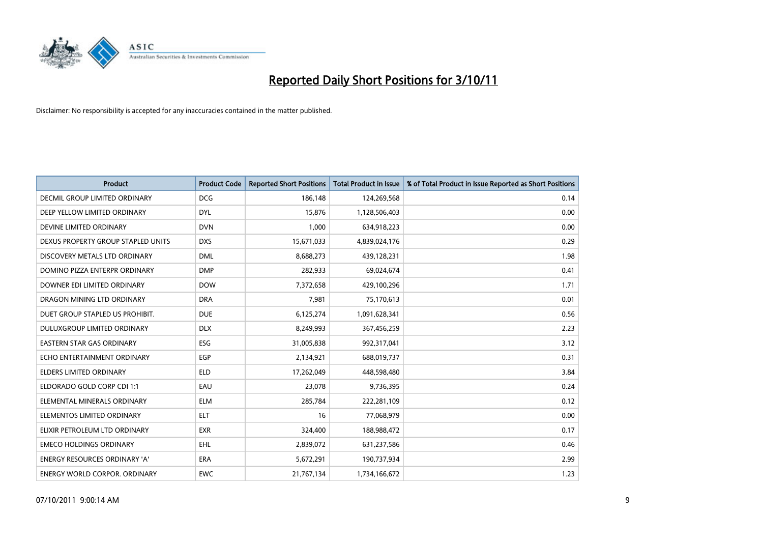

| <b>Product</b>                       | <b>Product Code</b> | <b>Reported Short Positions</b> | <b>Total Product in Issue</b> | % of Total Product in Issue Reported as Short Positions |
|--------------------------------------|---------------------|---------------------------------|-------------------------------|---------------------------------------------------------|
| <b>DECMIL GROUP LIMITED ORDINARY</b> | <b>DCG</b>          | 186,148                         | 124,269,568                   | 0.14                                                    |
| DEEP YELLOW LIMITED ORDINARY         | <b>DYL</b>          | 15,876                          | 1,128,506,403                 | 0.00                                                    |
| DEVINE LIMITED ORDINARY              | <b>DVN</b>          | 1,000                           | 634,918,223                   | 0.00                                                    |
| DEXUS PROPERTY GROUP STAPLED UNITS   | <b>DXS</b>          | 15,671,033                      | 4,839,024,176                 | 0.29                                                    |
| DISCOVERY METALS LTD ORDINARY        | <b>DML</b>          | 8,688,273                       | 439,128,231                   | 1.98                                                    |
| DOMINO PIZZA ENTERPR ORDINARY        | <b>DMP</b>          | 282,933                         | 69,024,674                    | 0.41                                                    |
| DOWNER EDI LIMITED ORDINARY          | <b>DOW</b>          | 7,372,658                       | 429,100,296                   | 1.71                                                    |
| DRAGON MINING LTD ORDINARY           | <b>DRA</b>          | 7,981                           | 75,170,613                    | 0.01                                                    |
| DUET GROUP STAPLED US PROHIBIT.      | <b>DUE</b>          | 6,125,274                       | 1,091,628,341                 | 0.56                                                    |
| DULUXGROUP LIMITED ORDINARY          | <b>DLX</b>          | 8,249,993                       | 367,456,259                   | 2.23                                                    |
| EASTERN STAR GAS ORDINARY            | <b>ESG</b>          | 31,005,838                      | 992,317,041                   | 3.12                                                    |
| ECHO ENTERTAINMENT ORDINARY          | EGP                 | 2,134,921                       | 688,019,737                   | 0.31                                                    |
| ELDERS LIMITED ORDINARY              | <b>ELD</b>          | 17,262,049                      | 448,598,480                   | 3.84                                                    |
| ELDORADO GOLD CORP CDI 1:1           | EAU                 | 23,078                          | 9,736,395                     | 0.24                                                    |
| ELEMENTAL MINERALS ORDINARY          | <b>ELM</b>          | 285,784                         | 222,281,109                   | 0.12                                                    |
| ELEMENTOS LIMITED ORDINARY           | <b>ELT</b>          | 16                              | 77,068,979                    | 0.00                                                    |
| ELIXIR PETROLEUM LTD ORDINARY        | <b>EXR</b>          | 324,400                         | 188,988,472                   | 0.17                                                    |
| <b>EMECO HOLDINGS ORDINARY</b>       | <b>EHL</b>          | 2,839,072                       | 631,237,586                   | 0.46                                                    |
| <b>ENERGY RESOURCES ORDINARY 'A'</b> | <b>ERA</b>          | 5,672,291                       | 190,737,934                   | 2.99                                                    |
| ENERGY WORLD CORPOR, ORDINARY        | <b>EWC</b>          | 21,767,134                      | 1,734,166,672                 | 1.23                                                    |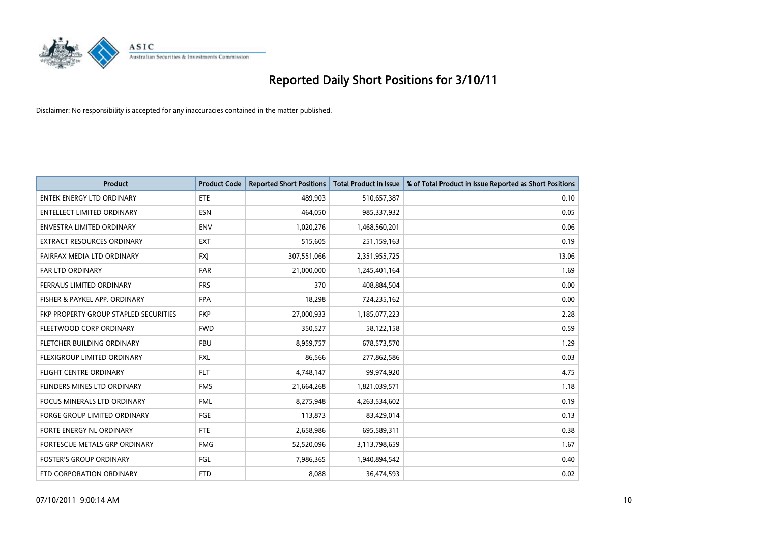

| <b>Product</b>                        | <b>Product Code</b> | <b>Reported Short Positions</b> | <b>Total Product in Issue</b> | % of Total Product in Issue Reported as Short Positions |
|---------------------------------------|---------------------|---------------------------------|-------------------------------|---------------------------------------------------------|
| <b>ENTEK ENERGY LTD ORDINARY</b>      | ETE                 | 489,903                         | 510,657,387                   | 0.10                                                    |
| <b>ENTELLECT LIMITED ORDINARY</b>     | <b>ESN</b>          | 464,050                         | 985,337,932                   | 0.05                                                    |
| <b>ENVESTRA LIMITED ORDINARY</b>      | <b>ENV</b>          | 1,020,276                       | 1,468,560,201                 | 0.06                                                    |
| EXTRACT RESOURCES ORDINARY            | <b>EXT</b>          | 515,605                         | 251,159,163                   | 0.19                                                    |
| FAIRFAX MEDIA LTD ORDINARY            | <b>FXI</b>          | 307,551,066                     | 2,351,955,725                 | 13.06                                                   |
| <b>FAR LTD ORDINARY</b>               | <b>FAR</b>          | 21,000,000                      | 1,245,401,164                 | 1.69                                                    |
| <b>FERRAUS LIMITED ORDINARY</b>       | <b>FRS</b>          | 370                             | 408,884,504                   | 0.00                                                    |
| FISHER & PAYKEL APP. ORDINARY         | <b>FPA</b>          | 18,298                          | 724,235,162                   | 0.00                                                    |
| FKP PROPERTY GROUP STAPLED SECURITIES | <b>FKP</b>          | 27,000,933                      | 1,185,077,223                 | 2.28                                                    |
| FLEETWOOD CORP ORDINARY               | <b>FWD</b>          | 350,527                         | 58,122,158                    | 0.59                                                    |
| FLETCHER BUILDING ORDINARY            | <b>FBU</b>          | 8,959,757                       | 678,573,570                   | 1.29                                                    |
| <b>FLEXIGROUP LIMITED ORDINARY</b>    | <b>FXL</b>          | 86,566                          | 277,862,586                   | 0.03                                                    |
| <b>FLIGHT CENTRE ORDINARY</b>         | <b>FLT</b>          | 4,748,147                       | 99,974,920                    | 4.75                                                    |
| <b>FLINDERS MINES LTD ORDINARY</b>    | <b>FMS</b>          | 21,664,268                      | 1,821,039,571                 | 1.18                                                    |
| <b>FOCUS MINERALS LTD ORDINARY</b>    | <b>FML</b>          | 8,275,948                       | 4,263,534,602                 | 0.19                                                    |
| FORGE GROUP LIMITED ORDINARY          | FGE                 | 113,873                         | 83,429,014                    | 0.13                                                    |
| FORTE ENERGY NL ORDINARY              | <b>FTE</b>          | 2,658,986                       | 695,589,311                   | 0.38                                                    |
| FORTESCUE METALS GRP ORDINARY         | <b>FMG</b>          | 52,520,096                      | 3,113,798,659                 | 1.67                                                    |
| <b>FOSTER'S GROUP ORDINARY</b>        | FGL                 | 7,986,365                       | 1,940,894,542                 | 0.40                                                    |
| FTD CORPORATION ORDINARY              | <b>FTD</b>          | 8,088                           | 36,474,593                    | 0.02                                                    |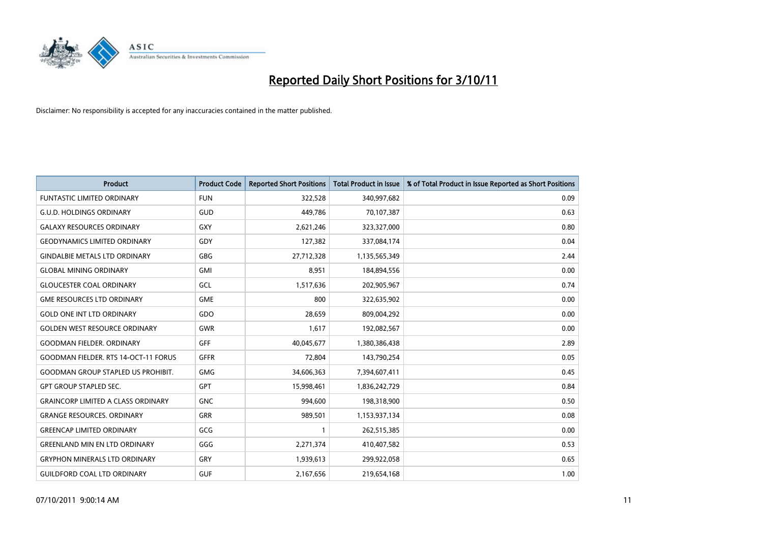

| <b>Product</b>                              | <b>Product Code</b> | <b>Reported Short Positions</b> | <b>Total Product in Issue</b> | % of Total Product in Issue Reported as Short Positions |
|---------------------------------------------|---------------------|---------------------------------|-------------------------------|---------------------------------------------------------|
| <b>FUNTASTIC LIMITED ORDINARY</b>           | <b>FUN</b>          | 322,528                         | 340,997,682                   | 0.09                                                    |
| <b>G.U.D. HOLDINGS ORDINARY</b>             | <b>GUD</b>          | 449,786                         | 70,107,387                    | 0.63                                                    |
| <b>GALAXY RESOURCES ORDINARY</b>            | GXY                 | 2,621,246                       | 323,327,000                   | 0.80                                                    |
| <b>GEODYNAMICS LIMITED ORDINARY</b>         | GDY                 | 127,382                         | 337,084,174                   | 0.04                                                    |
| <b>GINDALBIE METALS LTD ORDINARY</b>        | <b>GBG</b>          | 27,712,328                      | 1,135,565,349                 | 2.44                                                    |
| <b>GLOBAL MINING ORDINARY</b>               | GMI                 | 8,951                           | 184,894,556                   | 0.00                                                    |
| <b>GLOUCESTER COAL ORDINARY</b>             | GCL                 | 1,517,636                       | 202,905,967                   | 0.74                                                    |
| <b>GME RESOURCES LTD ORDINARY</b>           | <b>GME</b>          | 800                             | 322,635,902                   | 0.00                                                    |
| <b>GOLD ONE INT LTD ORDINARY</b>            | GDO                 | 28,659                          | 809,004,292                   | 0.00                                                    |
| <b>GOLDEN WEST RESOURCE ORDINARY</b>        | <b>GWR</b>          | 1,617                           | 192,082,567                   | 0.00                                                    |
| <b>GOODMAN FIELDER, ORDINARY</b>            | <b>GFF</b>          | 40,045,677                      | 1,380,386,438                 | 2.89                                                    |
| <b>GOODMAN FIELDER. RTS 14-OCT-11 FORUS</b> | <b>GFFR</b>         | 72,804                          | 143,790,254                   | 0.05                                                    |
| <b>GOODMAN GROUP STAPLED US PROHIBIT.</b>   | <b>GMG</b>          | 34,606,363                      | 7,394,607,411                 | 0.45                                                    |
| <b>GPT GROUP STAPLED SEC.</b>               | <b>GPT</b>          | 15,998,461                      | 1,836,242,729                 | 0.84                                                    |
| <b>GRAINCORP LIMITED A CLASS ORDINARY</b>   | <b>GNC</b>          | 994,600                         | 198,318,900                   | 0.50                                                    |
| <b>GRANGE RESOURCES. ORDINARY</b>           | GRR                 | 989,501                         | 1,153,937,134                 | 0.08                                                    |
| <b>GREENCAP LIMITED ORDINARY</b>            | GCG                 |                                 | 262,515,385                   | 0.00                                                    |
| <b>GREENLAND MIN EN LTD ORDINARY</b>        | GGG                 | 2,271,374                       | 410,407,582                   | 0.53                                                    |
| <b>GRYPHON MINERALS LTD ORDINARY</b>        | <b>GRY</b>          | 1,939,613                       | 299,922,058                   | 0.65                                                    |
| <b>GUILDFORD COAL LTD ORDINARY</b>          | <b>GUF</b>          | 2,167,656                       | 219,654,168                   | 1.00                                                    |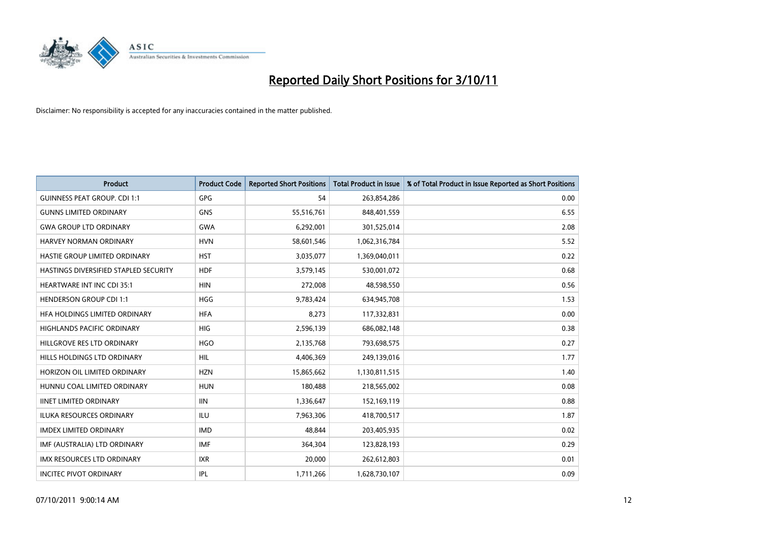

| <b>Product</b>                        | <b>Product Code</b> | <b>Reported Short Positions</b> | <b>Total Product in Issue</b> | % of Total Product in Issue Reported as Short Positions |
|---------------------------------------|---------------------|---------------------------------|-------------------------------|---------------------------------------------------------|
| <b>GUINNESS PEAT GROUP. CDI 1:1</b>   | <b>GPG</b>          | 54                              | 263,854,286                   | 0.00                                                    |
| <b>GUNNS LIMITED ORDINARY</b>         | <b>GNS</b>          | 55,516,761                      | 848,401,559                   | 6.55                                                    |
| <b>GWA GROUP LTD ORDINARY</b>         | <b>GWA</b>          | 6,292,001                       | 301,525,014                   | 2.08                                                    |
| HARVEY NORMAN ORDINARY                | <b>HVN</b>          | 58,601,546                      | 1,062,316,784                 | 5.52                                                    |
| HASTIE GROUP LIMITED ORDINARY         | <b>HST</b>          | 3,035,077                       | 1,369,040,011                 | 0.22                                                    |
| HASTINGS DIVERSIFIED STAPLED SECURITY | <b>HDF</b>          | 3,579,145                       | 530,001,072                   | 0.68                                                    |
| <b>HEARTWARE INT INC CDI 35:1</b>     | <b>HIN</b>          | 272,008                         | 48,598,550                    | 0.56                                                    |
| <b>HENDERSON GROUP CDI 1:1</b>        | <b>HGG</b>          | 9,783,424                       | 634,945,708                   | 1.53                                                    |
| HFA HOLDINGS LIMITED ORDINARY         | <b>HFA</b>          | 8,273                           | 117,332,831                   | 0.00                                                    |
| <b>HIGHLANDS PACIFIC ORDINARY</b>     | <b>HIG</b>          | 2,596,139                       | 686,082,148                   | 0.38                                                    |
| HILLGROVE RES LTD ORDINARY            | <b>HGO</b>          | 2,135,768                       | 793,698,575                   | 0.27                                                    |
| HILLS HOLDINGS LTD ORDINARY           | <b>HIL</b>          | 4,406,369                       | 249,139,016                   | 1.77                                                    |
| HORIZON OIL LIMITED ORDINARY          | <b>HZN</b>          | 15,865,662                      | 1,130,811,515                 | 1.40                                                    |
| HUNNU COAL LIMITED ORDINARY           | <b>HUN</b>          | 180,488                         | 218,565,002                   | 0.08                                                    |
| <b>IINET LIMITED ORDINARY</b>         | <b>IIN</b>          | 1,336,647                       | 152,169,119                   | 0.88                                                    |
| ILUKA RESOURCES ORDINARY              | ILU                 | 7,963,306                       | 418,700,517                   | 1.87                                                    |
| <b>IMDEX LIMITED ORDINARY</b>         | <b>IMD</b>          | 48,844                          | 203,405,935                   | 0.02                                                    |
| IMF (AUSTRALIA) LTD ORDINARY          | <b>IMF</b>          | 364,304                         | 123,828,193                   | 0.29                                                    |
| IMX RESOURCES LTD ORDINARY            | <b>IXR</b>          | 20,000                          | 262,612,803                   | 0.01                                                    |
| <b>INCITEC PIVOT ORDINARY</b>         | IPL                 | 1,711,266                       | 1,628,730,107                 | 0.09                                                    |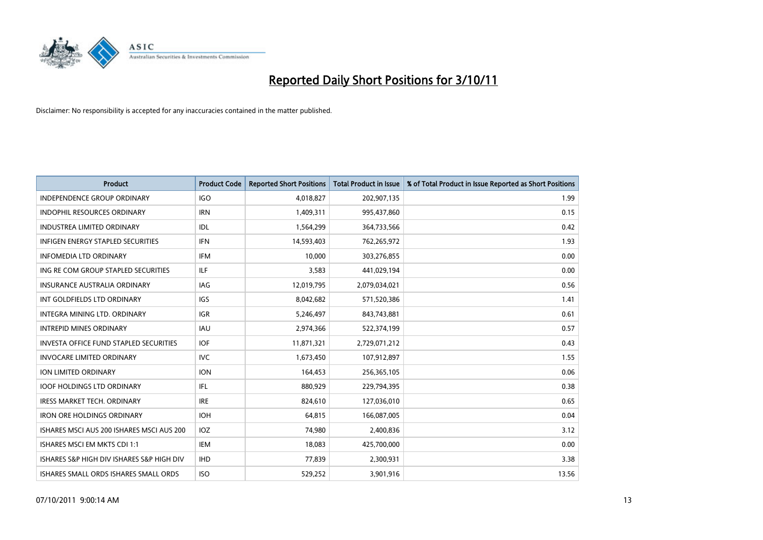

| <b>Product</b>                            | <b>Product Code</b> | <b>Reported Short Positions</b> | <b>Total Product in Issue</b> | % of Total Product in Issue Reported as Short Positions |
|-------------------------------------------|---------------------|---------------------------------|-------------------------------|---------------------------------------------------------|
| <b>INDEPENDENCE GROUP ORDINARY</b>        | <b>IGO</b>          | 4,018,827                       | 202,907,135                   | 1.99                                                    |
| INDOPHIL RESOURCES ORDINARY               | <b>IRN</b>          | 1,409,311                       | 995,437,860                   | 0.15                                                    |
| <b>INDUSTREA LIMITED ORDINARY</b>         | <b>IDL</b>          | 1,564,299                       | 364,733,566                   | 0.42                                                    |
| INFIGEN ENERGY STAPLED SECURITIES         | <b>IFN</b>          | 14,593,403                      | 762,265,972                   | 1.93                                                    |
| <b>INFOMEDIA LTD ORDINARY</b>             | IFM                 | 10.000                          | 303,276,855                   | 0.00                                                    |
| ING RE COM GROUP STAPLED SECURITIES       | <b>ILF</b>          | 3,583                           | 441,029,194                   | 0.00                                                    |
| INSURANCE AUSTRALIA ORDINARY              | IAG                 | 12,019,795                      | 2,079,034,021                 | 0.56                                                    |
| INT GOLDFIELDS LTD ORDINARY               | IGS                 | 8,042,682                       | 571,520,386                   | 1.41                                                    |
| INTEGRA MINING LTD. ORDINARY              | <b>IGR</b>          | 5,246,497                       | 843,743,881                   | 0.61                                                    |
| <b>INTREPID MINES ORDINARY</b>            | <b>IAU</b>          | 2,974,366                       | 522,374,199                   | 0.57                                                    |
| INVESTA OFFICE FUND STAPLED SECURITIES    | <b>IOF</b>          | 11,871,321                      | 2,729,071,212                 | 0.43                                                    |
| <b>INVOCARE LIMITED ORDINARY</b>          | <b>IVC</b>          | 1,673,450                       | 107,912,897                   | 1.55                                                    |
| ION LIMITED ORDINARY                      | <b>ION</b>          | 164,453                         | 256,365,105                   | 0.06                                                    |
| <b>IOOF HOLDINGS LTD ORDINARY</b>         | <b>IFL</b>          | 880,929                         | 229,794,395                   | 0.38                                                    |
| <b>IRESS MARKET TECH. ORDINARY</b>        | <b>IRE</b>          | 824,610                         | 127,036,010                   | 0.65                                                    |
| <b>IRON ORE HOLDINGS ORDINARY</b>         | <b>IOH</b>          | 64,815                          | 166,087,005                   | 0.04                                                    |
| ISHARES MSCI AUS 200 ISHARES MSCI AUS 200 | <b>IOZ</b>          | 74,980                          | 2,400,836                     | 3.12                                                    |
| ISHARES MSCI EM MKTS CDI 1:1              | IEM                 | 18,083                          | 425,700,000                   | 0.00                                                    |
| ISHARES S&P HIGH DIV ISHARES S&P HIGH DIV | <b>IHD</b>          | 77,839                          | 2,300,931                     | 3.38                                                    |
| ISHARES SMALL ORDS ISHARES SMALL ORDS     | <b>ISO</b>          | 529.252                         | 3,901,916                     | 13.56                                                   |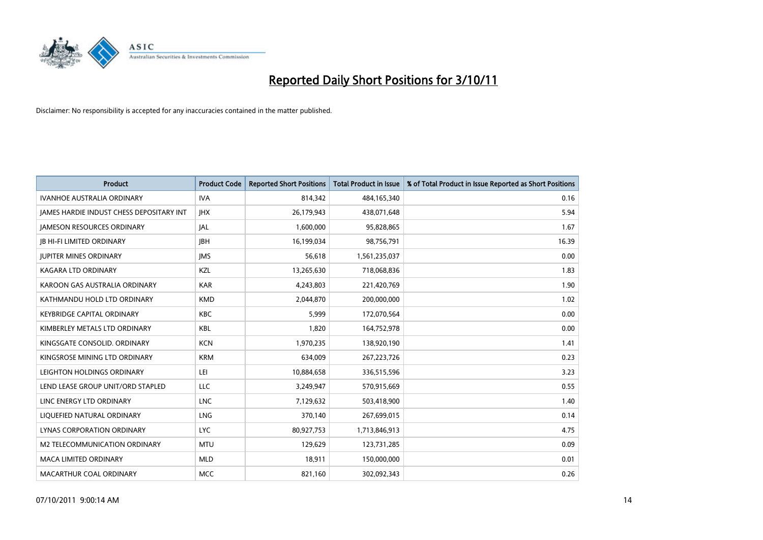

| <b>Product</b>                                  | <b>Product Code</b> | <b>Reported Short Positions</b> | <b>Total Product in Issue</b> | % of Total Product in Issue Reported as Short Positions |
|-------------------------------------------------|---------------------|---------------------------------|-------------------------------|---------------------------------------------------------|
| <b>IVANHOE AUSTRALIA ORDINARY</b>               | <b>IVA</b>          | 814,342                         | 484,165,340                   | 0.16                                                    |
| <b>IAMES HARDIE INDUST CHESS DEPOSITARY INT</b> | <b>IHX</b>          | 26,179,943                      | 438,071,648                   | 5.94                                                    |
| <b>JAMESON RESOURCES ORDINARY</b>               | <b>JAL</b>          | 1,600,000                       | 95,828,865                    | 1.67                                                    |
| <b>IB HI-FI LIMITED ORDINARY</b>                | <b>IBH</b>          | 16,199,034                      | 98,756,791                    | 16.39                                                   |
| <b>IUPITER MINES ORDINARY</b>                   | <b>IMS</b>          | 56.618                          | 1,561,235,037                 | 0.00                                                    |
| KAGARA LTD ORDINARY                             | KZL                 | 13,265,630                      | 718,068,836                   | 1.83                                                    |
| KAROON GAS AUSTRALIA ORDINARY                   | <b>KAR</b>          | 4,243,803                       | 221,420,769                   | 1.90                                                    |
| KATHMANDU HOLD LTD ORDINARY                     | <b>KMD</b>          | 2,044,870                       | 200,000,000                   | 1.02                                                    |
| KEYBRIDGE CAPITAL ORDINARY                      | <b>KBC</b>          | 5,999                           | 172,070,564                   | 0.00                                                    |
| KIMBERLEY METALS LTD ORDINARY                   | <b>KBL</b>          | 1,820                           | 164,752,978                   | 0.00                                                    |
| KINGSGATE CONSOLID. ORDINARY                    | <b>KCN</b>          | 1,970,235                       | 138,920,190                   | 1.41                                                    |
| KINGSROSE MINING LTD ORDINARY                   | <b>KRM</b>          | 634,009                         | 267,223,726                   | 0.23                                                    |
| LEIGHTON HOLDINGS ORDINARY                      | LEI                 | 10,884,658                      | 336,515,596                   | 3.23                                                    |
| LEND LEASE GROUP UNIT/ORD STAPLED               | LLC                 | 3,249,947                       | 570,915,669                   | 0.55                                                    |
| LINC ENERGY LTD ORDINARY                        | <b>LNC</b>          | 7,129,632                       | 503,418,900                   | 1.40                                                    |
| LIQUEFIED NATURAL ORDINARY                      | <b>LNG</b>          | 370,140                         | 267,699,015                   | 0.14                                                    |
| <b>LYNAS CORPORATION ORDINARY</b>               | <b>LYC</b>          | 80,927,753                      | 1,713,846,913                 | 4.75                                                    |
| M2 TELECOMMUNICATION ORDINARY                   | <b>MTU</b>          | 129,629                         | 123,731,285                   | 0.09                                                    |
| <b>MACA LIMITED ORDINARY</b>                    | <b>MLD</b>          | 18,911                          | 150,000,000                   | 0.01                                                    |
| MACARTHUR COAL ORDINARY                         | <b>MCC</b>          | 821.160                         | 302.092.343                   | 0.26                                                    |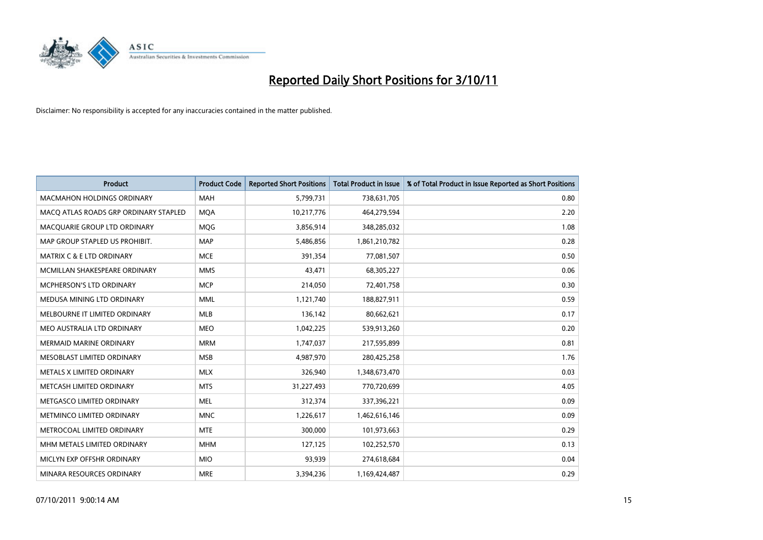

|                                      | <b>Product</b>                        | <b>Product Code</b> | <b>Reported Short Positions</b> | <b>Total Product in Issue</b> | % of Total Product in Issue Reported as Short Positions |
|--------------------------------------|---------------------------------------|---------------------|---------------------------------|-------------------------------|---------------------------------------------------------|
| MACMAHON HOLDINGS ORDINARY           |                                       | <b>MAH</b>          | 5,799,731                       | 738,631,705                   | 0.80                                                    |
|                                      | MACO ATLAS ROADS GRP ORDINARY STAPLED | <b>MQA</b>          | 10,217,776                      | 464,279,594                   | 2.20                                                    |
| MACQUARIE GROUP LTD ORDINARY         |                                       | MQG                 | 3,856,914                       | 348,285,032                   | 1.08                                                    |
| MAP GROUP STAPLED US PROHIBIT.       |                                       | <b>MAP</b>          | 5,486,856                       | 1,861,210,782                 | 0.28                                                    |
| <b>MATRIX C &amp; E LTD ORDINARY</b> |                                       | <b>MCE</b>          | 391,354                         | 77,081,507                    | 0.50                                                    |
| MCMILLAN SHAKESPEARE ORDINARY        |                                       | <b>MMS</b>          | 43,471                          | 68,305,227                    | 0.06                                                    |
| MCPHERSON'S LTD ORDINARY             |                                       | <b>MCP</b>          | 214,050                         | 72,401,758                    | 0.30                                                    |
| MEDUSA MINING LTD ORDINARY           |                                       | <b>MML</b>          | 1,121,740                       | 188,827,911                   | 0.59                                                    |
| MELBOURNE IT LIMITED ORDINARY        |                                       | <b>MLB</b>          | 136,142                         | 80,662,621                    | 0.17                                                    |
| MEO AUSTRALIA LTD ORDINARY           |                                       | <b>MEO</b>          | 1,042,225                       | 539,913,260                   | 0.20                                                    |
| <b>MERMAID MARINE ORDINARY</b>       |                                       | <b>MRM</b>          | 1,747,037                       | 217,595,899                   | 0.81                                                    |
| MESOBLAST LIMITED ORDINARY           |                                       | <b>MSB</b>          | 4,987,970                       | 280,425,258                   | 1.76                                                    |
| METALS X LIMITED ORDINARY            |                                       | <b>MLX</b>          | 326,940                         | 1,348,673,470                 | 0.03                                                    |
| METCASH LIMITED ORDINARY             |                                       | <b>MTS</b>          | 31,227,493                      | 770,720,699                   | 4.05                                                    |
| METGASCO LIMITED ORDINARY            |                                       | <b>MEL</b>          | 312,374                         | 337,396,221                   | 0.09                                                    |
| METMINCO LIMITED ORDINARY            |                                       | <b>MNC</b>          | 1,226,617                       | 1,462,616,146                 | 0.09                                                    |
| METROCOAL LIMITED ORDINARY           |                                       | <b>MTE</b>          | 300,000                         | 101,973,663                   | 0.29                                                    |
| MHM METALS LIMITED ORDINARY          |                                       | <b>MHM</b>          | 127,125                         | 102,252,570                   | 0.13                                                    |
| MICLYN EXP OFFSHR ORDINARY           |                                       | <b>MIO</b>          | 93,939                          | 274,618,684                   | 0.04                                                    |
| MINARA RESOURCES ORDINARY            |                                       | <b>MRE</b>          | 3,394,236                       | 1,169,424,487                 | 0.29                                                    |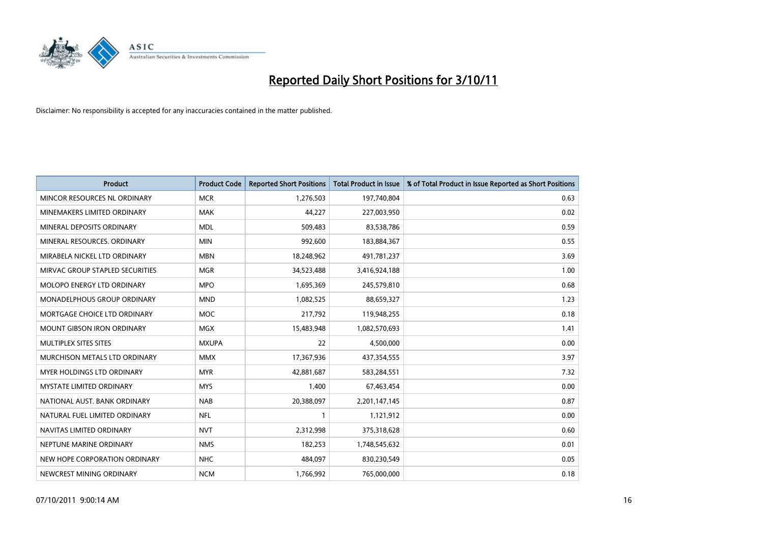

| <b>Product</b>                    | <b>Product Code</b> | <b>Reported Short Positions</b> | <b>Total Product in Issue</b> | % of Total Product in Issue Reported as Short Positions |
|-----------------------------------|---------------------|---------------------------------|-------------------------------|---------------------------------------------------------|
| MINCOR RESOURCES NL ORDINARY      | <b>MCR</b>          | 1,276,503                       | 197,740,804                   | 0.63                                                    |
| MINEMAKERS LIMITED ORDINARY       | <b>MAK</b>          | 44,227                          | 227,003,950                   | 0.02                                                    |
| MINERAL DEPOSITS ORDINARY         | <b>MDL</b>          | 509,483                         | 83,538,786                    | 0.59                                                    |
| MINERAL RESOURCES. ORDINARY       | <b>MIN</b>          | 992,600                         | 183,884,367                   | 0.55                                                    |
| MIRABELA NICKEL LTD ORDINARY      | <b>MBN</b>          | 18,248,962                      | 491,781,237                   | 3.69                                                    |
| MIRVAC GROUP STAPLED SECURITIES   | <b>MGR</b>          | 34,523,488                      | 3,416,924,188                 | 1.00                                                    |
| <b>MOLOPO ENERGY LTD ORDINARY</b> | <b>MPO</b>          | 1,695,369                       | 245,579,810                   | 0.68                                                    |
| MONADELPHOUS GROUP ORDINARY       | <b>MND</b>          | 1,082,525                       | 88,659,327                    | 1.23                                                    |
| MORTGAGE CHOICE LTD ORDINARY      | <b>MOC</b>          | 217,792                         | 119,948,255                   | 0.18                                                    |
| <b>MOUNT GIBSON IRON ORDINARY</b> | <b>MGX</b>          | 15,483,948                      | 1,082,570,693                 | 1.41                                                    |
| MULTIPLEX SITES SITES             | <b>MXUPA</b>        | 22                              | 4,500,000                     | 0.00                                                    |
| MURCHISON METALS LTD ORDINARY     | <b>MMX</b>          | 17,367,936                      | 437,354,555                   | 3.97                                                    |
| MYER HOLDINGS LTD ORDINARY        | <b>MYR</b>          | 42,881,687                      | 583,284,551                   | 7.32                                                    |
| <b>MYSTATE LIMITED ORDINARY</b>   | <b>MYS</b>          | 1,400                           | 67,463,454                    | 0.00                                                    |
| NATIONAL AUST, BANK ORDINARY      | <b>NAB</b>          | 20,388,097                      | 2,201,147,145                 | 0.87                                                    |
| NATURAL FUEL LIMITED ORDINARY     | <b>NFL</b>          |                                 | 1,121,912                     | 0.00                                                    |
| NAVITAS LIMITED ORDINARY          | <b>NVT</b>          | 2,312,998                       | 375,318,628                   | 0.60                                                    |
| NEPTUNE MARINE ORDINARY           | <b>NMS</b>          | 182,253                         | 1,748,545,632                 | 0.01                                                    |
| NEW HOPE CORPORATION ORDINARY     | <b>NHC</b>          | 484,097                         | 830,230,549                   | 0.05                                                    |
| NEWCREST MINING ORDINARY          | <b>NCM</b>          | 1,766,992                       | 765,000,000                   | 0.18                                                    |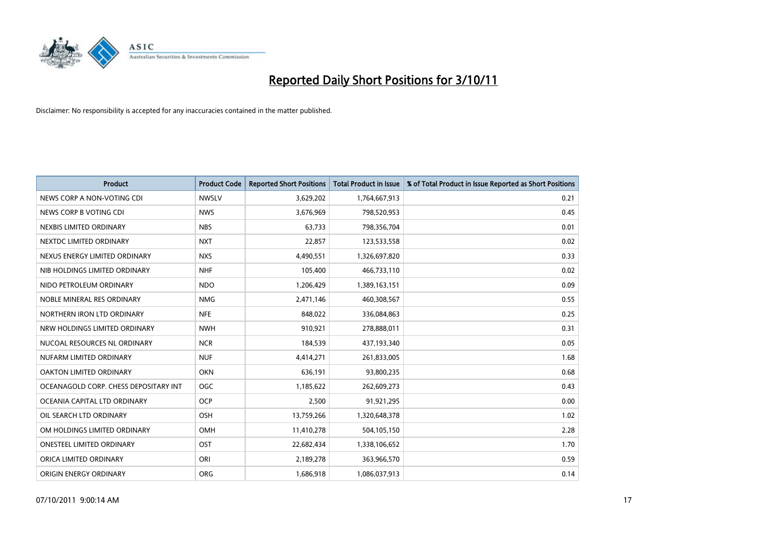

| <b>Product</b>                        | <b>Product Code</b> | <b>Reported Short Positions</b> | <b>Total Product in Issue</b> | % of Total Product in Issue Reported as Short Positions |
|---------------------------------------|---------------------|---------------------------------|-------------------------------|---------------------------------------------------------|
| NEWS CORP A NON-VOTING CDI            | <b>NWSLV</b>        | 3,629,202                       | 1,764,667,913                 | 0.21                                                    |
| NEWS CORP B VOTING CDI                | <b>NWS</b>          | 3,676,969                       | 798,520,953                   | 0.45                                                    |
| NEXBIS LIMITED ORDINARY               | <b>NBS</b>          | 63,733                          | 798,356,704                   | 0.01                                                    |
| NEXTDC LIMITED ORDINARY               | <b>NXT</b>          | 22,857                          | 123,533,558                   | 0.02                                                    |
| NEXUS ENERGY LIMITED ORDINARY         | <b>NXS</b>          | 4,490,551                       | 1,326,697,820                 | 0.33                                                    |
| NIB HOLDINGS LIMITED ORDINARY         | <b>NHF</b>          | 105,400                         | 466,733,110                   | 0.02                                                    |
| NIDO PETROLEUM ORDINARY               | <b>NDO</b>          | 1,206,429                       | 1,389,163,151                 | 0.09                                                    |
| NOBLE MINERAL RES ORDINARY            | <b>NMG</b>          | 2,471,146                       | 460,308,567                   | 0.55                                                    |
| NORTHERN IRON LTD ORDINARY            | <b>NFE</b>          | 848,022                         | 336,084,863                   | 0.25                                                    |
| NRW HOLDINGS LIMITED ORDINARY         | <b>NWH</b>          | 910,921                         | 278,888,011                   | 0.31                                                    |
| NUCOAL RESOURCES NL ORDINARY          | <b>NCR</b>          | 184,539                         | 437,193,340                   | 0.05                                                    |
| NUFARM LIMITED ORDINARY               | <b>NUF</b>          | 4,414,271                       | 261,833,005                   | 1.68                                                    |
| OAKTON LIMITED ORDINARY               | <b>OKN</b>          | 636,191                         | 93,800,235                    | 0.68                                                    |
| OCEANAGOLD CORP. CHESS DEPOSITARY INT | <b>OGC</b>          | 1,185,622                       | 262,609,273                   | 0.43                                                    |
| OCEANIA CAPITAL LTD ORDINARY          | <b>OCP</b>          | 2,500                           | 91,921,295                    | 0.00                                                    |
| OIL SEARCH LTD ORDINARY               | OSH                 | 13,759,266                      | 1,320,648,378                 | 1.02                                                    |
| OM HOLDINGS LIMITED ORDINARY          | OMH                 | 11,410,278                      | 504,105,150                   | 2.28                                                    |
| ONESTEEL LIMITED ORDINARY             | OST                 | 22,682,434                      | 1,338,106,652                 | 1.70                                                    |
| ORICA LIMITED ORDINARY                | ORI                 | 2,189,278                       | 363,966,570                   | 0.59                                                    |
| ORIGIN ENERGY ORDINARY                | <b>ORG</b>          | 1,686,918                       | 1,086,037,913                 | 0.14                                                    |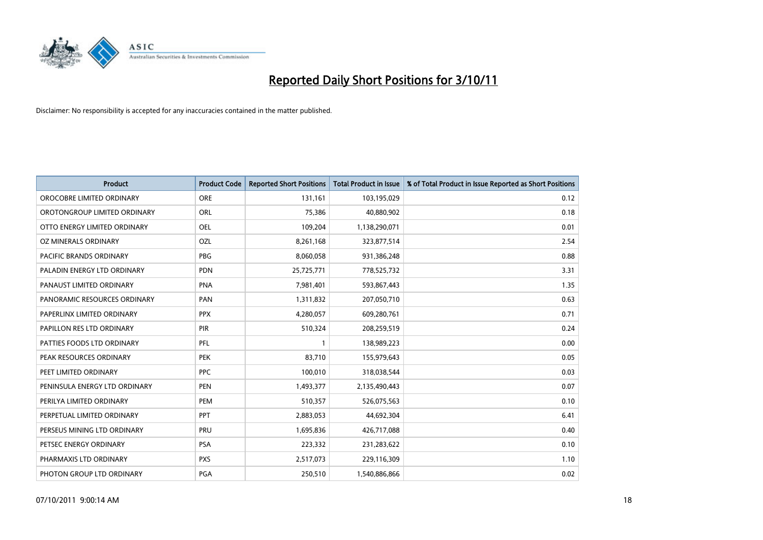

| <b>Product</b>                 | <b>Product Code</b> | <b>Reported Short Positions</b> | <b>Total Product in Issue</b> | % of Total Product in Issue Reported as Short Positions |
|--------------------------------|---------------------|---------------------------------|-------------------------------|---------------------------------------------------------|
| OROCOBRE LIMITED ORDINARY      | <b>ORE</b>          | 131,161                         | 103,195,029                   | 0.12                                                    |
| OROTONGROUP LIMITED ORDINARY   | <b>ORL</b>          | 75,386                          | 40,880,902                    | 0.18                                                    |
| OTTO ENERGY LIMITED ORDINARY   | <b>OEL</b>          | 109,204                         | 1,138,290,071                 | 0.01                                                    |
| OZ MINERALS ORDINARY           | OZL                 | 8,261,168                       | 323,877,514                   | 2.54                                                    |
| <b>PACIFIC BRANDS ORDINARY</b> | <b>PBG</b>          | 8,060,058                       | 931,386,248                   | 0.88                                                    |
| PALADIN ENERGY LTD ORDINARY    | <b>PDN</b>          | 25,725,771                      | 778,525,732                   | 3.31                                                    |
| PANAUST LIMITED ORDINARY       | <b>PNA</b>          | 7,981,401                       | 593,867,443                   | 1.35                                                    |
| PANORAMIC RESOURCES ORDINARY   | PAN                 | 1,311,832                       | 207,050,710                   | 0.63                                                    |
| PAPERLINX LIMITED ORDINARY     | <b>PPX</b>          | 4,280,057                       | 609,280,761                   | 0.71                                                    |
| PAPILLON RES LTD ORDINARY      | <b>PIR</b>          | 510,324                         | 208,259,519                   | 0.24                                                    |
| PATTIES FOODS LTD ORDINARY     | PFL                 |                                 | 138,989,223                   | 0.00                                                    |
| PEAK RESOURCES ORDINARY        | <b>PEK</b>          | 83,710                          | 155,979,643                   | 0.05                                                    |
| PEET LIMITED ORDINARY          | <b>PPC</b>          | 100,010                         | 318,038,544                   | 0.03                                                    |
| PENINSULA ENERGY LTD ORDINARY  | <b>PEN</b>          | 1,493,377                       | 2,135,490,443                 | 0.07                                                    |
| PERILYA LIMITED ORDINARY       | PEM                 | 510,357                         | 526,075,563                   | 0.10                                                    |
| PERPETUAL LIMITED ORDINARY     | <b>PPT</b>          | 2,883,053                       | 44,692,304                    | 6.41                                                    |
| PERSEUS MINING LTD ORDINARY    | PRU                 | 1,695,836                       | 426,717,088                   | 0.40                                                    |
| PETSEC ENERGY ORDINARY         | <b>PSA</b>          | 223,332                         | 231,283,622                   | 0.10                                                    |
| PHARMAXIS LTD ORDINARY         | <b>PXS</b>          | 2,517,073                       | 229,116,309                   | 1.10                                                    |
| PHOTON GROUP LTD ORDINARY      | <b>PGA</b>          | 250,510                         | 1,540,886,866                 | 0.02                                                    |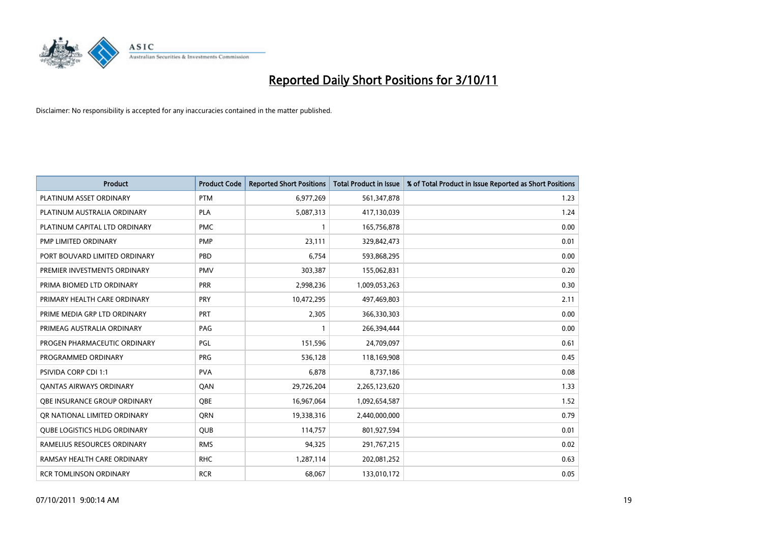

| <b>Product</b>                      | <b>Product Code</b> | <b>Reported Short Positions</b> | <b>Total Product in Issue</b> | % of Total Product in Issue Reported as Short Positions |
|-------------------------------------|---------------------|---------------------------------|-------------------------------|---------------------------------------------------------|
| PLATINUM ASSET ORDINARY             | <b>PTM</b>          | 6,977,269                       | 561,347,878                   | 1.23                                                    |
| PLATINUM AUSTRALIA ORDINARY         | <b>PLA</b>          | 5,087,313                       | 417,130,039                   | 1.24                                                    |
| PLATINUM CAPITAL LTD ORDINARY       | <b>PMC</b>          |                                 | 165,756,878                   | 0.00                                                    |
| PMP LIMITED ORDINARY                | <b>PMP</b>          | 23,111                          | 329,842,473                   | 0.01                                                    |
| PORT BOUVARD LIMITED ORDINARY       | PBD                 | 6,754                           | 593,868,295                   | 0.00                                                    |
| PREMIER INVESTMENTS ORDINARY        | <b>PMV</b>          | 303,387                         | 155,062,831                   | 0.20                                                    |
| PRIMA BIOMED LTD ORDINARY           | <b>PRR</b>          | 2,998,236                       | 1,009,053,263                 | 0.30                                                    |
| PRIMARY HEALTH CARE ORDINARY        | <b>PRY</b>          | 10,472,295                      | 497,469,803                   | 2.11                                                    |
| PRIME MEDIA GRP LTD ORDINARY        | PRT                 | 2,305                           | 366,330,303                   | 0.00                                                    |
| PRIMEAG AUSTRALIA ORDINARY          | PAG                 |                                 | 266,394,444                   | 0.00                                                    |
| PROGEN PHARMACEUTIC ORDINARY        | PGL                 | 151,596                         | 24,709,097                    | 0.61                                                    |
| PROGRAMMED ORDINARY                 | <b>PRG</b>          | 536,128                         | 118,169,908                   | 0.45                                                    |
| PSIVIDA CORP CDI 1:1                | <b>PVA</b>          | 6,878                           | 8,737,186                     | 0.08                                                    |
| <b>QANTAS AIRWAYS ORDINARY</b>      | QAN                 | 29,726,204                      | 2,265,123,620                 | 1.33                                                    |
| OBE INSURANCE GROUP ORDINARY        | <b>OBE</b>          | 16,967,064                      | 1,092,654,587                 | 1.52                                                    |
| OR NATIONAL LIMITED ORDINARY        | <b>ORN</b>          | 19,338,316                      | 2,440,000,000                 | 0.79                                                    |
| <b>QUBE LOGISTICS HLDG ORDINARY</b> | QUB                 | 114,757                         | 801,927,594                   | 0.01                                                    |
| RAMELIUS RESOURCES ORDINARY         | <b>RMS</b>          | 94,325                          | 291,767,215                   | 0.02                                                    |
| RAMSAY HEALTH CARE ORDINARY         | <b>RHC</b>          | 1,287,114                       | 202,081,252                   | 0.63                                                    |
| <b>RCR TOMLINSON ORDINARY</b>       | <b>RCR</b>          | 68,067                          | 133,010,172                   | 0.05                                                    |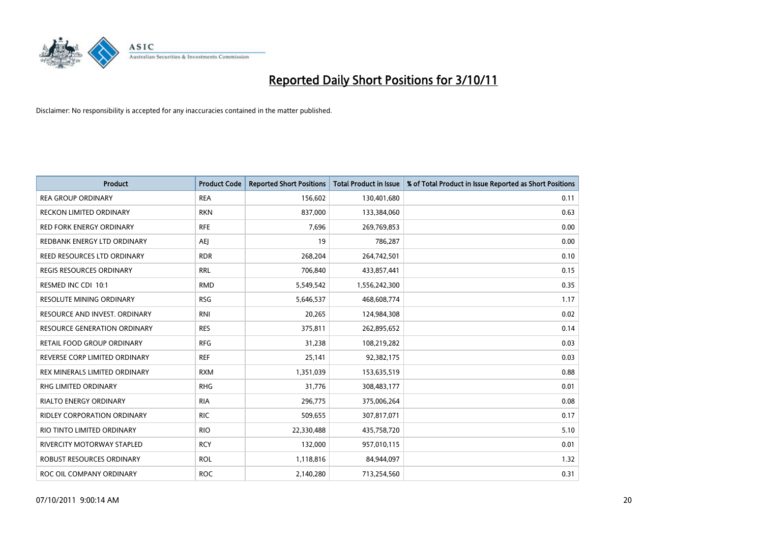

| <b>Product</b>                      | <b>Product Code</b> | <b>Reported Short Positions</b> | <b>Total Product in Issue</b> | % of Total Product in Issue Reported as Short Positions |
|-------------------------------------|---------------------|---------------------------------|-------------------------------|---------------------------------------------------------|
| <b>REA GROUP ORDINARY</b>           | <b>REA</b>          | 156,602                         | 130,401,680                   | 0.11                                                    |
| RECKON LIMITED ORDINARY             | <b>RKN</b>          | 837,000                         | 133,384,060                   | 0.63                                                    |
| <b>RED FORK ENERGY ORDINARY</b>     | <b>RFE</b>          | 7,696                           | 269,769,853                   | 0.00                                                    |
| REDBANK ENERGY LTD ORDINARY         | AEI                 | 19                              | 786,287                       | 0.00                                                    |
| REED RESOURCES LTD ORDINARY         | <b>RDR</b>          | 268,204                         | 264,742,501                   | 0.10                                                    |
| <b>REGIS RESOURCES ORDINARY</b>     | <b>RRL</b>          | 706,840                         | 433,857,441                   | 0.15                                                    |
| RESMED INC CDI 10:1                 | <b>RMD</b>          | 5,549,542                       | 1,556,242,300                 | 0.35                                                    |
| RESOLUTE MINING ORDINARY            | <b>RSG</b>          | 5,646,537                       | 468,608,774                   | 1.17                                                    |
| RESOURCE AND INVEST. ORDINARY       | <b>RNI</b>          | 20,265                          | 124,984,308                   | 0.02                                                    |
| <b>RESOURCE GENERATION ORDINARY</b> | <b>RES</b>          | 375,811                         | 262,895,652                   | 0.14                                                    |
| RETAIL FOOD GROUP ORDINARY          | <b>RFG</b>          | 31,238                          | 108,219,282                   | 0.03                                                    |
| REVERSE CORP LIMITED ORDINARY       | <b>REF</b>          | 25,141                          | 92,382,175                    | 0.03                                                    |
| REX MINERALS LIMITED ORDINARY       | <b>RXM</b>          | 1,351,039                       | 153,635,519                   | 0.88                                                    |
| <b>RHG LIMITED ORDINARY</b>         | <b>RHG</b>          | 31,776                          | 308,483,177                   | 0.01                                                    |
| <b>RIALTO ENERGY ORDINARY</b>       | <b>RIA</b>          | 296,775                         | 375,006,264                   | 0.08                                                    |
| RIDLEY CORPORATION ORDINARY         | <b>RIC</b>          | 509,655                         | 307,817,071                   | 0.17                                                    |
| RIO TINTO LIMITED ORDINARY          | <b>RIO</b>          | 22,330,488                      | 435,758,720                   | 5.10                                                    |
| RIVERCITY MOTORWAY STAPLED          | <b>RCY</b>          | 132,000                         | 957,010,115                   | 0.01                                                    |
| ROBUST RESOURCES ORDINARY           | <b>ROL</b>          | 1,118,816                       | 84,944,097                    | 1.32                                                    |
| ROC OIL COMPANY ORDINARY            | <b>ROC</b>          | 2,140,280                       | 713,254,560                   | 0.31                                                    |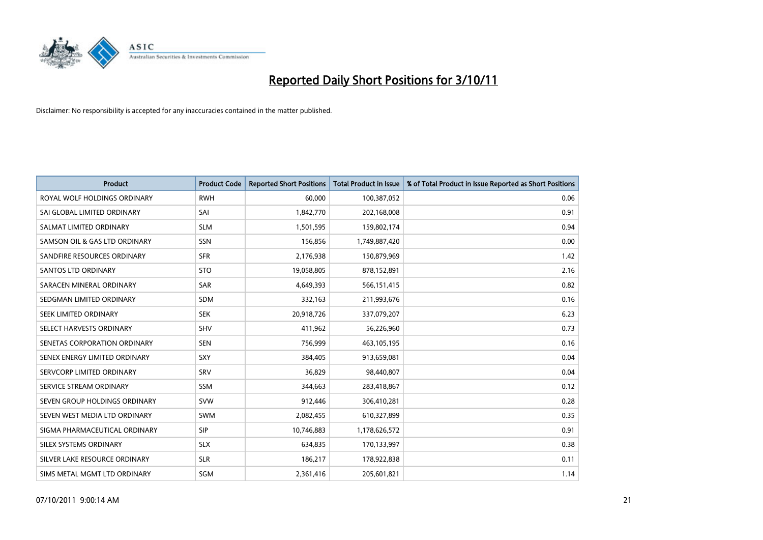

| <b>Product</b>                | <b>Product Code</b> | <b>Reported Short Positions</b> | <b>Total Product in Issue</b> | % of Total Product in Issue Reported as Short Positions |
|-------------------------------|---------------------|---------------------------------|-------------------------------|---------------------------------------------------------|
| ROYAL WOLF HOLDINGS ORDINARY  | <b>RWH</b>          | 60,000                          | 100,387,052                   | 0.06                                                    |
| SAI GLOBAL LIMITED ORDINARY   | SAI                 | 1,842,770                       | 202,168,008                   | 0.91                                                    |
| SALMAT LIMITED ORDINARY       | <b>SLM</b>          | 1,501,595                       | 159,802,174                   | 0.94                                                    |
| SAMSON OIL & GAS LTD ORDINARY | SSN                 | 156,856                         | 1,749,887,420                 | 0.00                                                    |
| SANDFIRE RESOURCES ORDINARY   | <b>SFR</b>          | 2,176,938                       | 150,879,969                   | 1.42                                                    |
| <b>SANTOS LTD ORDINARY</b>    | <b>STO</b>          | 19,058,805                      | 878,152,891                   | 2.16                                                    |
| SARACEN MINERAL ORDINARY      | <b>SAR</b>          | 4,649,393                       | 566,151,415                   | 0.82                                                    |
| SEDGMAN LIMITED ORDINARY      | <b>SDM</b>          | 332,163                         | 211,993,676                   | 0.16                                                    |
| SEEK LIMITED ORDINARY         | <b>SEK</b>          | 20,918,726                      | 337,079,207                   | 6.23                                                    |
| SELECT HARVESTS ORDINARY      | <b>SHV</b>          | 411,962                         | 56,226,960                    | 0.73                                                    |
| SENETAS CORPORATION ORDINARY  | <b>SEN</b>          | 756,999                         | 463,105,195                   | 0.16                                                    |
| SENEX ENERGY LIMITED ORDINARY | <b>SXY</b>          | 384,405                         | 913,659,081                   | 0.04                                                    |
| SERVCORP LIMITED ORDINARY     | SRV                 | 36,829                          | 98,440,807                    | 0.04                                                    |
| SERVICE STREAM ORDINARY       | <b>SSM</b>          | 344.663                         | 283,418,867                   | 0.12                                                    |
| SEVEN GROUP HOLDINGS ORDINARY | <b>SVW</b>          | 912,446                         | 306,410,281                   | 0.28                                                    |
| SEVEN WEST MEDIA LTD ORDINARY | <b>SWM</b>          | 2,082,455                       | 610,327,899                   | 0.35                                                    |
| SIGMA PHARMACEUTICAL ORDINARY | <b>SIP</b>          | 10,746,883                      | 1,178,626,572                 | 0.91                                                    |
| SILEX SYSTEMS ORDINARY        | <b>SLX</b>          | 634,835                         | 170,133,997                   | 0.38                                                    |
| SILVER LAKE RESOURCE ORDINARY | <b>SLR</b>          | 186,217                         | 178,922,838                   | 0.11                                                    |
| SIMS METAL MGMT LTD ORDINARY  | SGM                 | 2,361,416                       | 205,601,821                   | 1.14                                                    |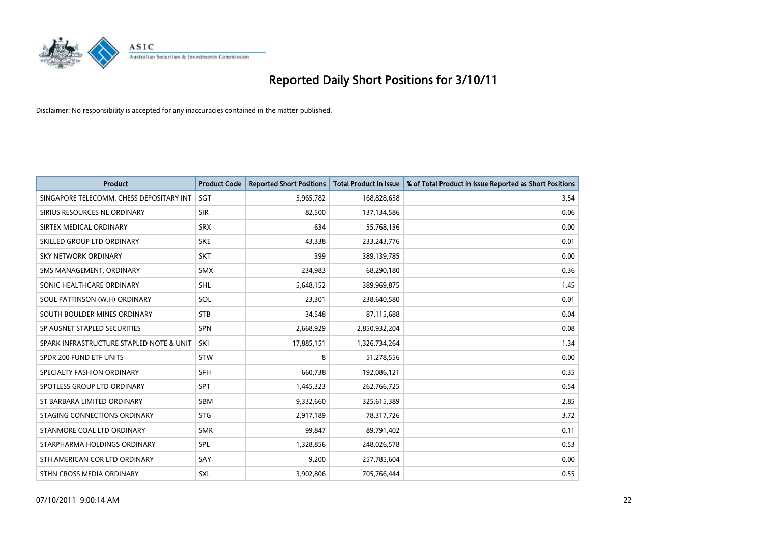

| <b>Product</b>                           | <b>Product Code</b> | <b>Reported Short Positions</b> | <b>Total Product in Issue</b> | % of Total Product in Issue Reported as Short Positions |
|------------------------------------------|---------------------|---------------------------------|-------------------------------|---------------------------------------------------------|
| SINGAPORE TELECOMM. CHESS DEPOSITARY INT | SGT                 | 5,965,782                       | 168,828,658                   | 3.54                                                    |
| SIRIUS RESOURCES NL ORDINARY             | <b>SIR</b>          | 82,500                          | 137,134,586                   | 0.06                                                    |
| SIRTEX MEDICAL ORDINARY                  | <b>SRX</b>          | 634                             | 55,768,136                    | 0.00                                                    |
| SKILLED GROUP LTD ORDINARY               | <b>SKE</b>          | 43,338                          | 233, 243, 776                 | 0.01                                                    |
| <b>SKY NETWORK ORDINARY</b>              | <b>SKT</b>          | 399                             | 389,139,785                   | 0.00                                                    |
| SMS MANAGEMENT, ORDINARY                 | <b>SMX</b>          | 234,983                         | 68,290,180                    | 0.36                                                    |
| SONIC HEALTHCARE ORDINARY                | <b>SHL</b>          | 5,648,152                       | 389,969,875                   | 1.45                                                    |
| SOUL PATTINSON (W.H) ORDINARY            | SOL                 | 23,301                          | 238,640,580                   | 0.01                                                    |
| SOUTH BOULDER MINES ORDINARY             | <b>STB</b>          | 34,548                          | 87,115,688                    | 0.04                                                    |
| SP AUSNET STAPLED SECURITIES             | <b>SPN</b>          | 2,668,929                       | 2,850,932,204                 | 0.08                                                    |
| SPARK INFRASTRUCTURE STAPLED NOTE & UNIT | SKI                 | 17,885,151                      | 1,326,734,264                 | 1.34                                                    |
| SPDR 200 FUND ETF UNITS                  | <b>STW</b>          | 8                               | 51,278,556                    | 0.00                                                    |
| SPECIALTY FASHION ORDINARY               | <b>SFH</b>          | 660,738                         | 192,086,121                   | 0.35                                                    |
| SPOTLESS GROUP LTD ORDINARY              | <b>SPT</b>          | 1,445,323                       | 262,766,725                   | 0.54                                                    |
| ST BARBARA LIMITED ORDINARY              | <b>SBM</b>          | 9,332,660                       | 325,615,389                   | 2.85                                                    |
| STAGING CONNECTIONS ORDINARY             | <b>STG</b>          | 2,917,189                       | 78,317,726                    | 3.72                                                    |
| STANMORE COAL LTD ORDINARY               | <b>SMR</b>          | 99,847                          | 89,791,402                    | 0.11                                                    |
| STARPHARMA HOLDINGS ORDINARY             | <b>SPL</b>          | 1,328,856                       | 248,026,578                   | 0.53                                                    |
| STH AMERICAN COR LTD ORDINARY            | SAY                 | 9,200                           | 257,785,604                   | 0.00                                                    |
| STHN CROSS MEDIA ORDINARY                | <b>SXL</b>          | 3,902,806                       | 705,766,444                   | 0.55                                                    |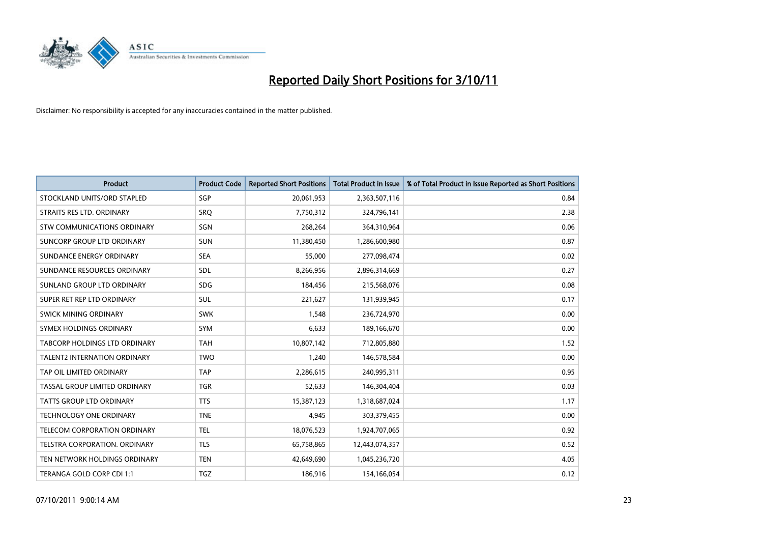

| <b>Product</b>                      | <b>Product Code</b> | <b>Reported Short Positions</b> | <b>Total Product in Issue</b> | % of Total Product in Issue Reported as Short Positions |
|-------------------------------------|---------------------|---------------------------------|-------------------------------|---------------------------------------------------------|
| STOCKLAND UNITS/ORD STAPLED         | <b>SGP</b>          | 20,061,953                      | 2,363,507,116                 | 0.84                                                    |
| STRAITS RES LTD. ORDINARY           | SRO                 | 7,750,312                       | 324,796,141                   | 2.38                                                    |
| STW COMMUNICATIONS ORDINARY         | SGN                 | 268,264                         | 364,310,964                   | 0.06                                                    |
| SUNCORP GROUP LTD ORDINARY          | <b>SUN</b>          | 11,380,450                      | 1,286,600,980                 | 0.87                                                    |
| SUNDANCE ENERGY ORDINARY            | <b>SEA</b>          | 55,000                          | 277,098,474                   | 0.02                                                    |
| SUNDANCE RESOURCES ORDINARY         | SDL                 | 8,266,956                       | 2,896,314,669                 | 0.27                                                    |
| SUNLAND GROUP LTD ORDINARY          | <b>SDG</b>          | 184,456                         | 215,568,076                   | 0.08                                                    |
| SUPER RET REP LTD ORDINARY          | <b>SUL</b>          | 221,627                         | 131,939,945                   | 0.17                                                    |
| SWICK MINING ORDINARY               | <b>SWK</b>          | 1,548                           | 236,724,970                   | 0.00                                                    |
| SYMEX HOLDINGS ORDINARY             | <b>SYM</b>          | 6,633                           | 189,166,670                   | 0.00                                                    |
| TABCORP HOLDINGS LTD ORDINARY       | <b>TAH</b>          | 10,807,142                      | 712,805,880                   | 1.52                                                    |
| <b>TALENT2 INTERNATION ORDINARY</b> | <b>TWO</b>          | 1,240                           | 146,578,584                   | 0.00                                                    |
| TAP OIL LIMITED ORDINARY            | <b>TAP</b>          | 2,286,615                       | 240,995,311                   | 0.95                                                    |
| TASSAL GROUP LIMITED ORDINARY       | <b>TGR</b>          | 52,633                          | 146,304,404                   | 0.03                                                    |
| <b>TATTS GROUP LTD ORDINARY</b>     | <b>TTS</b>          | 15,387,123                      | 1,318,687,024                 | 1.17                                                    |
| <b>TECHNOLOGY ONE ORDINARY</b>      | <b>TNE</b>          | 4,945                           | 303,379,455                   | 0.00                                                    |
| TELECOM CORPORATION ORDINARY        | <b>TEL</b>          | 18,076,523                      | 1,924,707,065                 | 0.92                                                    |
| TELSTRA CORPORATION. ORDINARY       | <b>TLS</b>          | 65,758,865                      | 12,443,074,357                | 0.52                                                    |
| TEN NETWORK HOLDINGS ORDINARY       | <b>TEN</b>          | 42,649,690                      | 1,045,236,720                 | 4.05                                                    |
| TERANGA GOLD CORP CDI 1:1           | <b>TGZ</b>          | 186,916                         | 154,166,054                   | 0.12                                                    |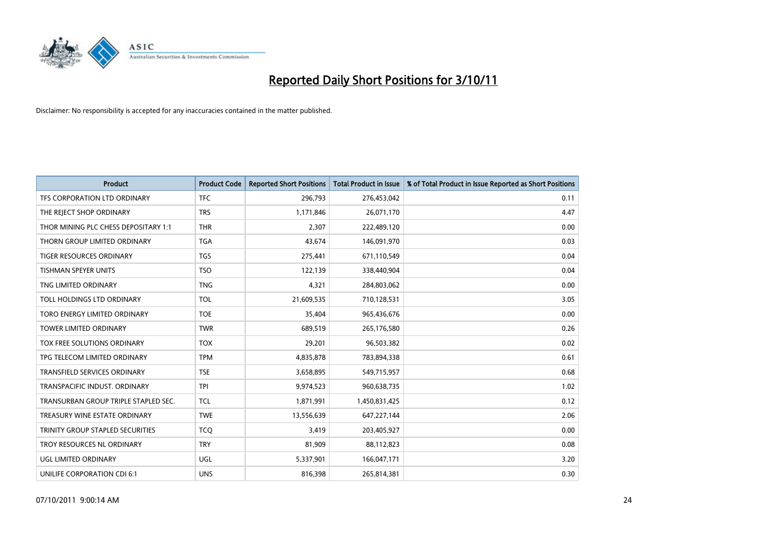

| <b>Product</b>                          | <b>Product Code</b> | <b>Reported Short Positions</b> | <b>Total Product in Issue</b> | % of Total Product in Issue Reported as Short Positions |
|-----------------------------------------|---------------------|---------------------------------|-------------------------------|---------------------------------------------------------|
| TFS CORPORATION LTD ORDINARY            | <b>TFC</b>          | 296,793                         | 276,453,042                   | 0.11                                                    |
| THE REJECT SHOP ORDINARY                | <b>TRS</b>          | 1,171,846                       | 26,071,170                    | 4.47                                                    |
| THOR MINING PLC CHESS DEPOSITARY 1:1    | <b>THR</b>          | 2,307                           | 222,489,120                   | 0.00                                                    |
| THORN GROUP LIMITED ORDINARY            | <b>TGA</b>          | 43,674                          | 146,091,970                   | 0.03                                                    |
| <b>TIGER RESOURCES ORDINARY</b>         | <b>TGS</b>          | 275,441                         | 671,110,549                   | 0.04                                                    |
| <b>TISHMAN SPEYER UNITS</b>             | <b>TSO</b>          | 122,139                         | 338,440,904                   | 0.04                                                    |
| TNG LIMITED ORDINARY                    | <b>TNG</b>          | 4,321                           | 284,803,062                   | 0.00                                                    |
| TOLL HOLDINGS LTD ORDINARY              | <b>TOL</b>          | 21,609,535                      | 710,128,531                   | 3.05                                                    |
| TORO ENERGY LIMITED ORDINARY            | <b>TOE</b>          | 35,404                          | 965,436,676                   | 0.00                                                    |
| <b>TOWER LIMITED ORDINARY</b>           | <b>TWR</b>          | 689,519                         | 265,176,580                   | 0.26                                                    |
| TOX FREE SOLUTIONS ORDINARY             | <b>TOX</b>          | 29,201                          | 96,503,382                    | 0.02                                                    |
| TPG TELECOM LIMITED ORDINARY            | <b>TPM</b>          | 4,835,878                       | 783,894,338                   | 0.61                                                    |
| TRANSFIELD SERVICES ORDINARY            | <b>TSE</b>          | 3,658,895                       | 549,715,957                   | 0.68                                                    |
| TRANSPACIFIC INDUST, ORDINARY           | <b>TPI</b>          | 9,974,523                       | 960,638,735                   | 1.02                                                    |
| TRANSURBAN GROUP TRIPLE STAPLED SEC.    | <b>TCL</b>          | 1,871,991                       | 1,450,831,425                 | 0.12                                                    |
| TREASURY WINE ESTATE ORDINARY           | <b>TWE</b>          | 13,556,639                      | 647,227,144                   | 2.06                                                    |
| <b>TRINITY GROUP STAPLED SECURITIES</b> | <b>TCO</b>          | 3,419                           | 203,405,927                   | 0.00                                                    |
| TROY RESOURCES NL ORDINARY              | <b>TRY</b>          | 81,909                          | 88,112,823                    | 0.08                                                    |
| UGL LIMITED ORDINARY                    | UGL                 | 5,337,901                       | 166,047,171                   | 3.20                                                    |
| UNILIFE CORPORATION CDI 6:1             | <b>UNS</b>          | 816,398                         | 265,814,381                   | 0.30                                                    |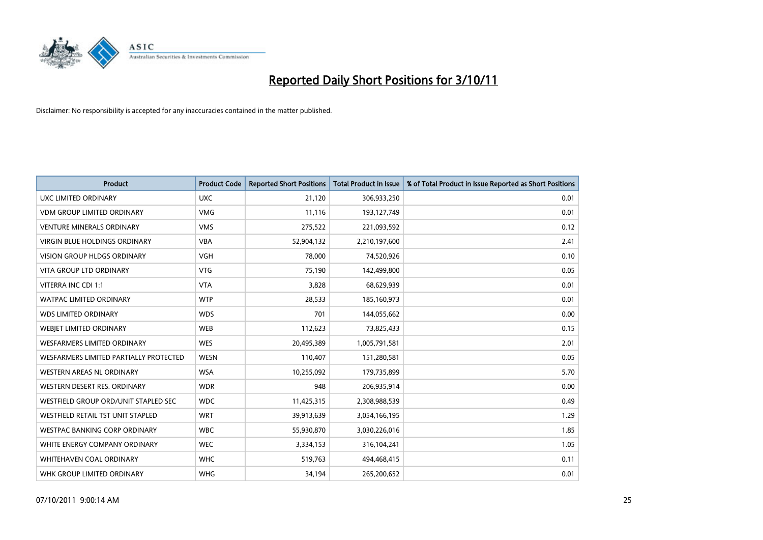

| <b>Product</b>                         | <b>Product Code</b> | <b>Reported Short Positions</b> | <b>Total Product in Issue</b> | % of Total Product in Issue Reported as Short Positions |
|----------------------------------------|---------------------|---------------------------------|-------------------------------|---------------------------------------------------------|
| <b>UXC LIMITED ORDINARY</b>            | <b>UXC</b>          | 21,120                          | 306,933,250                   | 0.01                                                    |
| <b>VDM GROUP LIMITED ORDINARY</b>      | <b>VMG</b>          | 11,116                          | 193,127,749                   | 0.01                                                    |
| <b>VENTURE MINERALS ORDINARY</b>       | <b>VMS</b>          | 275,522                         | 221,093,592                   | 0.12                                                    |
| VIRGIN BLUE HOLDINGS ORDINARY          | <b>VBA</b>          | 52,904,132                      | 2,210,197,600                 | 2.41                                                    |
| <b>VISION GROUP HLDGS ORDINARY</b>     | <b>VGH</b>          | 78,000                          | 74,520,926                    | 0.10                                                    |
| <b>VITA GROUP LTD ORDINARY</b>         | <b>VTG</b>          | 75,190                          | 142,499,800                   | 0.05                                                    |
| VITERRA INC CDI 1:1                    | <b>VTA</b>          | 3,828                           | 68,629,939                    | 0.01                                                    |
| WATPAC LIMITED ORDINARY                | <b>WTP</b>          | 28,533                          | 185,160,973                   | 0.01                                                    |
| <b>WDS LIMITED ORDINARY</b>            | <b>WDS</b>          | 701                             | 144,055,662                   | 0.00                                                    |
| WEBIET LIMITED ORDINARY                | <b>WEB</b>          | 112,623                         | 73,825,433                    | 0.15                                                    |
| WESFARMERS LIMITED ORDINARY            | <b>WES</b>          | 20,495,389                      | 1,005,791,581                 | 2.01                                                    |
| WESFARMERS LIMITED PARTIALLY PROTECTED | <b>WESN</b>         | 110,407                         | 151,280,581                   | 0.05                                                    |
| WESTERN AREAS NL ORDINARY              | <b>WSA</b>          | 10,255,092                      | 179,735,899                   | 5.70                                                    |
| WESTERN DESERT RES. ORDINARY           | <b>WDR</b>          | 948                             | 206,935,914                   | 0.00                                                    |
| WESTFIELD GROUP ORD/UNIT STAPLED SEC   | <b>WDC</b>          | 11,425,315                      | 2,308,988,539                 | 0.49                                                    |
| WESTFIELD RETAIL TST UNIT STAPLED      | <b>WRT</b>          | 39,913,639                      | 3,054,166,195                 | 1.29                                                    |
| WESTPAC BANKING CORP ORDINARY          | <b>WBC</b>          | 55,930,870                      | 3,030,226,016                 | 1.85                                                    |
| WHITE ENERGY COMPANY ORDINARY          | <b>WEC</b>          | 3,334,153                       | 316,104,241                   | 1.05                                                    |
| <b>WHITEHAVEN COAL ORDINARY</b>        | <b>WHC</b>          | 519,763                         | 494,468,415                   | 0.11                                                    |
| WHK GROUP LIMITED ORDINARY             | <b>WHG</b>          | 34,194                          | 265,200,652                   | 0.01                                                    |